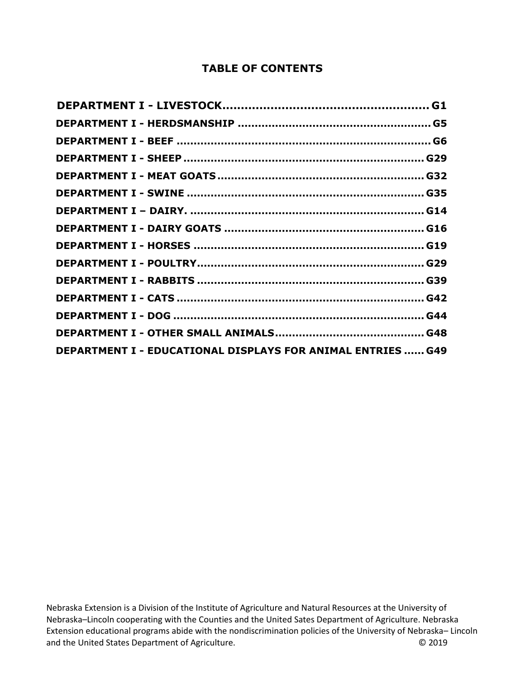#### **TABLE OF CONTENTS**

| <b>DEPARTMENT I - EDUCATIONAL DISPLAYS FOR ANIMAL ENTRIES  G49</b> |  |
|--------------------------------------------------------------------|--|

Nebraska Extension is a Division of the Institute of Agriculture and Natural Resources at the University of Nebraska–Lincoln cooperating with the Counties and the United Sates Department of Agriculture. Nebraska Extension educational programs abide with the nondiscrimination policies of the University of Nebraska– Lincoln and the United States Department of Agriculture.<br>
© 2019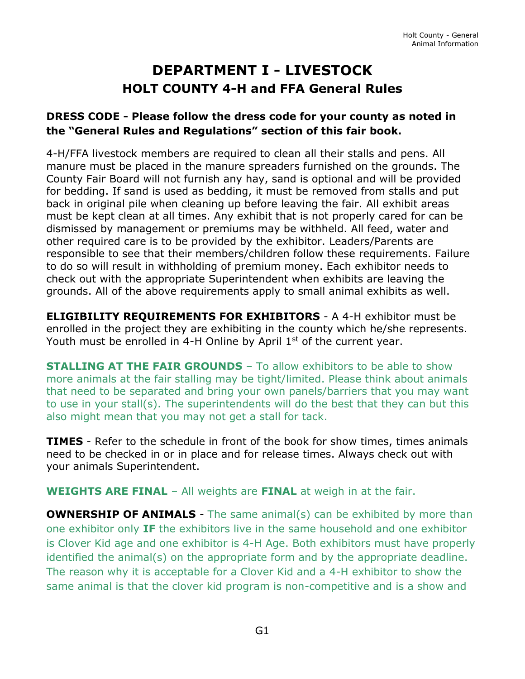# **DEPARTMENT I - LIVESTOCK HOLT COUNTY 4-H and FFA General Rules**

### <span id="page-1-0"></span>**DRESS CODE - Please follow the dress code for your county as noted in the "General Rules and Regulations" section of this fair book.**

4-H/FFA livestock members are required to clean all their stalls and pens. All manure must be placed in the manure spreaders furnished on the grounds. The County Fair Board will not furnish any hay, sand is optional and will be provided for bedding. If sand is used as bedding, it must be removed from stalls and put back in original pile when cleaning up before leaving the fair. All exhibit areas must be kept clean at all times. Any exhibit that is not properly cared for can be dismissed by management or premiums may be withheld. All feed, water and other required care is to be provided by the exhibitor. Leaders/Parents are responsible to see that their members/children follow these requirements. Failure to do so will result in withholding of premium money. Each exhibitor needs to check out with the appropriate Superintendent when exhibits are leaving the grounds. All of the above requirements apply to small animal exhibits as well.

**ELIGIBILITY REQUIREMENTS FOR EXHIBITORS** - A 4-H exhibitor must be enrolled in the project they are exhibiting in the county which he/she represents. Youth must be enrolled in 4-H Online by April 1<sup>st</sup> of the current year.

**STALLING AT THE FAIR GROUNDS** - To allow exhibitors to be able to show more animals at the fair stalling may be tight/limited. Please think about animals that need to be separated and bring your own panels/barriers that you may want to use in your stall(s). The superintendents will do the best that they can but this also might mean that you may not get a stall for tack.

**TIMES** - Refer to the schedule in front of the book for show times, times animals need to be checked in or in place and for release times. Always check out with your animals Superintendent.

**WEIGHTS ARE FINAL** – All weights are **FINAL** at weigh in at the fair.

**OWNERSHIP OF ANIMALS** - The same animal(s) can be exhibited by more than one exhibitor only **IF** the exhibitors live in the same household and one exhibitor is Clover Kid age and one exhibitor is 4-H Age. Both exhibitors must have properly identified the animal(s) on the appropriate form and by the appropriate deadline. The reason why it is acceptable for a Clover Kid and a 4-H exhibitor to show the same animal is that the clover kid program is non-competitive and is a show and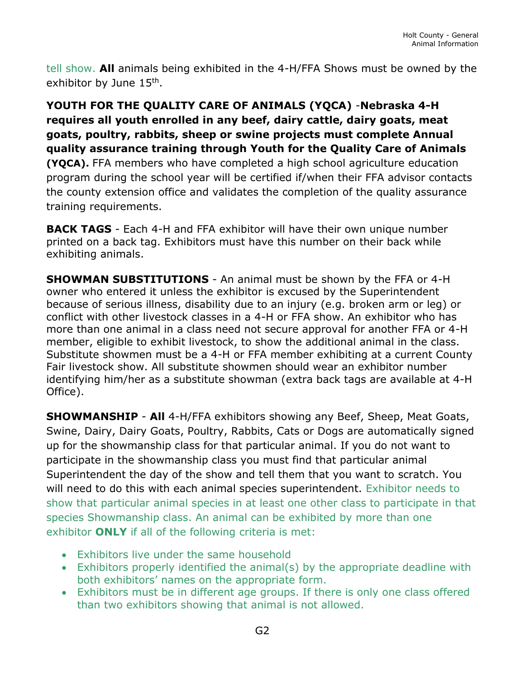tell show. **All** animals being exhibited in the 4-H/FFA Shows must be owned by the exhibitor by June 15<sup>th</sup>.

**YOUTH FOR THE QUALITY CARE OF ANIMALS (YQCA)** -**Nebraska 4-H requires all youth enrolled in any beef, dairy cattle, dairy goats, meat goats, poultry, rabbits, sheep or swine projects must complete Annual quality assurance training through Youth for the Quality Care of Animals (YQCA).** FFA members who have completed a high school agriculture education program during the school year will be certified if/when their FFA advisor contacts the county extension office and validates the completion of the quality assurance training requirements.

**BACK TAGS** - Each 4-H and FFA exhibitor will have their own unique number printed on a back tag. Exhibitors must have this number on their back while exhibiting animals.

**SHOWMAN SUBSTITUTIONS** - An animal must be shown by the FFA or 4-H owner who entered it unless the exhibitor is excused by the Superintendent because of serious illness, disability due to an injury (e.g. broken arm or leg) or conflict with other livestock classes in a 4-H or FFA show. An exhibitor who has more than one animal in a class need not secure approval for another FFA or 4-H member, eligible to exhibit livestock, to show the additional animal in the class. Substitute showmen must be a 4-H or FFA member exhibiting at a current County Fair livestock show. All substitute showmen should wear an exhibitor number identifying him/her as a substitute showman (extra back tags are available at 4-H Office).

**SHOWMANSHIP** - **All** 4-H/FFA exhibitors showing any Beef, Sheep, Meat Goats, Swine, Dairy, Dairy Goats, Poultry, Rabbits, Cats or Dogs are automatically signed up for the showmanship class for that particular animal. If you do not want to participate in the showmanship class you must find that particular animal Superintendent the day of the show and tell them that you want to scratch. You will need to do this with each animal species superintendent. Exhibitor needs to show that particular animal species in at least one other class to participate in that species Showmanship class. An animal can be exhibited by more than one exhibitor **ONLY** if all of the following criteria is met:

- Exhibitors live under the same household
- Exhibitors properly identified the animal(s) by the appropriate deadline with both exhibitors' names on the appropriate form.
- Exhibitors must be in different age groups. If there is only one class offered than two exhibitors showing that animal is not allowed.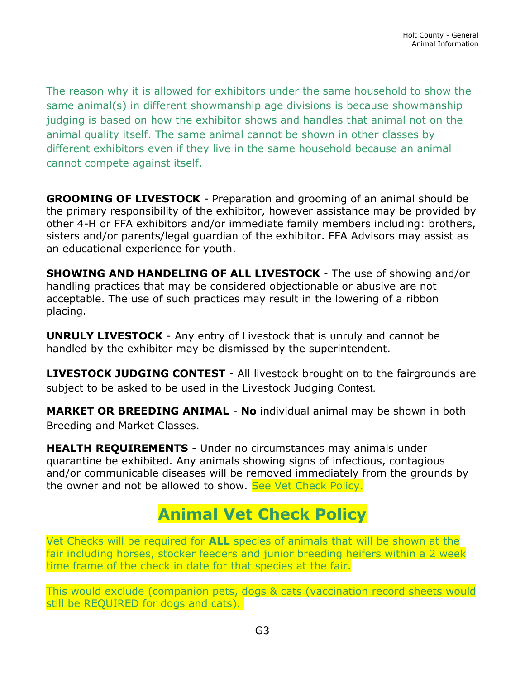The reason why it is allowed for exhibitors under the same household to show the same animal(s) in different showmanship age divisions is because showmanship judging is based on how the exhibitor shows and handles that animal not on the animal quality itself. The same animal cannot be shown in other classes by different exhibitors even if they live in the same household because an animal cannot compete against itself.

**GROOMING OF LIVESTOCK** - Preparation and grooming of an animal should be the primary responsibility of the exhibitor, however assistance may be provided by other 4-H or FFA exhibitors and/or immediate family members including: brothers, sisters and/or parents/legal guardian of the exhibitor. FFA Advisors may assist as an educational experience for youth.

**SHOWING AND HANDELING OF ALL LIVESTOCK** - The use of showing and/or handling practices that may be considered objectionable or abusive are not acceptable. The use of such practices may result in the lowering of a ribbon placing.

**UNRULY LIVESTOCK** - Any entry of Livestock that is unruly and cannot be handled by the exhibitor may be dismissed by the superintendent.

**LIVESTOCK JUDGING CONTEST** - All livestock brought on to the fairgrounds are subject to be asked to be used in the Livestock Judging Contest.

**MARKET OR BREEDING ANIMAL** - **No** individual animal may be shown in both Breeding and Market Classes.

**HEALTH REQUIREMENTS** - Under no circumstances may animals under quarantine be exhibited. Any animals showing signs of infectious, contagious and/or communicable diseases will be removed immediately from the grounds by the owner and not be allowed to show. See Vet Check Policy.

# **Animal Vet Check Policy**

Vet Checks will be required for **ALL** species of animals that will be shown at the fair including horses, stocker feeders and junior breeding heifers within a 2 week time frame of the check in date for that species at the fair.

This would exclude (companion pets, dogs & cats (vaccination record sheets would still be REQUIRED for dogs and cats).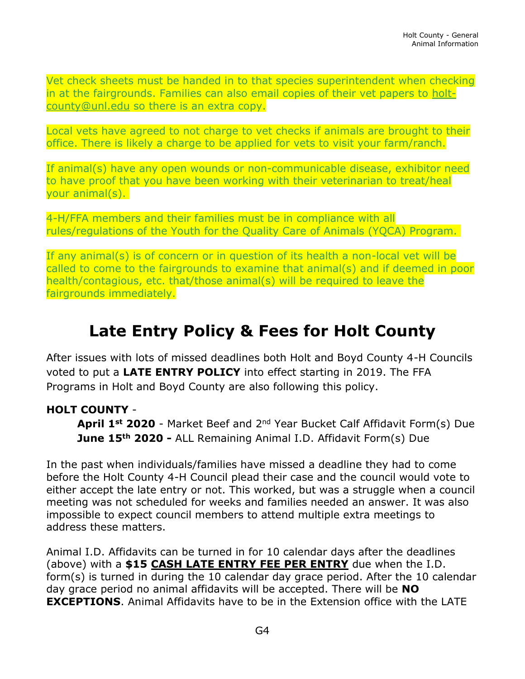Vet check sheets must be handed in to that species superintendent when checking in at the fairgrounds. Families can also email copies of their vet papers to [holt](mailto:holt-county@unl.edu)[county@unl.edu](mailto:holt-county@unl.edu) so there is an extra copy.

Local vets have agreed to not charge to vet checks if animals are brought to their office. There is likely a charge to be applied for vets to visit your farm/ranch.

If animal(s) have any open wounds or non-communicable disease, exhibitor need to have proof that you have been working with their veterinarian to treat/heal your animal(s).

4-H/FFA members and their families must be in compliance with all rules/regulations of the Youth for the Quality Care of Animals (YQCA) Program.

If any animal(s) is of concern or in question of its health a non-local vet will be called to come to the fairgrounds to examine that animal(s) and if deemed in poor health/contagious, etc. that/those animal(s) will be required to leave the fairgrounds immediately.

# **Late Entry Policy & Fees for Holt County**

After issues with lots of missed deadlines both Holt and Boyd County 4-H Councils voted to put a **LATE ENTRY POLICY** into effect starting in 2019. The FFA Programs in Holt and Boyd County are also following this policy.

### **HOLT COUNTY** -

**April 1st 2020** - Market Beef and 2nd Year Bucket Calf Affidavit Form(s) Due **June 15th 2020 -** ALL Remaining Animal I.D. Affidavit Form(s) Due

In the past when individuals/families have missed a deadline they had to come before the Holt County 4-H Council plead their case and the council would vote to either accept the late entry or not. This worked, but was a struggle when a council meeting was not scheduled for weeks and families needed an answer. It was also impossible to expect council members to attend multiple extra meetings to address these matters.

Animal I.D. Affidavits can be turned in for 10 calendar days after the deadlines (above) with a **\$15 CASH LATE ENTRY FEE PER ENTRY** due when the I.D. form(s) is turned in during the 10 calendar day grace period. After the 10 calendar day grace period no animal affidavits will be accepted. There will be **NO EXCEPTIONS**. Animal Affidavits have to be in the Extension office with the LATE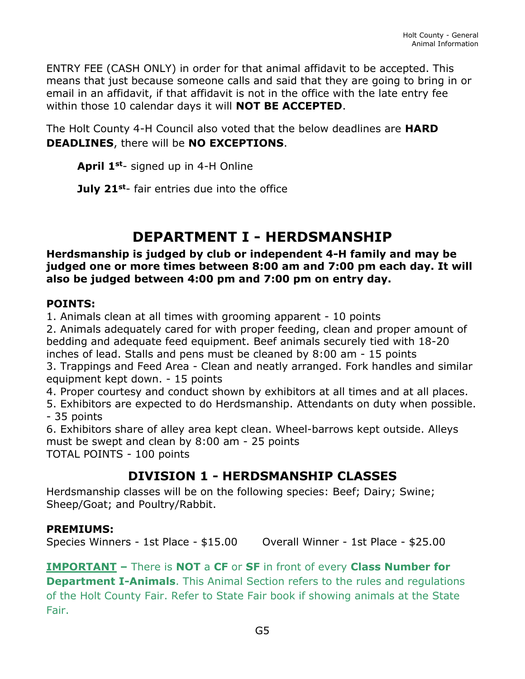ENTRY FEE (CASH ONLY) in order for that animal affidavit to be accepted. This means that just because someone calls and said that they are going to bring in or email in an affidavit, if that affidavit is not in the office with the late entry fee within those 10 calendar days it will **NOT BE ACCEPTED**.

The Holt County 4-H Council also voted that the below deadlines are **HARD DEADLINES**, there will be **NO EXCEPTIONS**.

**April 1st**- signed up in 4-H Online

**July 21st**- fair entries due into the office

# **DEPARTMENT I - HERDSMANSHIP**

#### <span id="page-5-0"></span>**Herdsmanship is judged by club or independent 4-H family and may be judged one or more times between 8:00 am and 7:00 pm each day. It will also be judged between 4:00 pm and 7:00 pm on entry day.**

### **POINTS:**

1. Animals clean at all times with grooming apparent - 10 points

2. Animals adequately cared for with proper feeding, clean and proper amount of bedding and adequate feed equipment. Beef animals securely tied with 18-20 inches of lead. Stalls and pens must be cleaned by 8:00 am - 15 points

3. Trappings and Feed Area - Clean and neatly arranged. Fork handles and similar equipment kept down. - 15 points

4. Proper courtesy and conduct shown by exhibitors at all times and at all places.

5. Exhibitors are expected to do Herdsmanship. Attendants on duty when possible. - 35 points

6. Exhibitors share of alley area kept clean. Wheel-barrows kept outside. Alleys must be swept and clean by 8:00 am - 25 points TOTAL POINTS - 100 points

### **DIVISION 1 - HERDSMANSHIP CLASSES**

Herdsmanship classes will be on the following species: Beef; Dairy; Swine; Sheep/Goat; and Poultry/Rabbit.

### **PREMIUMS:**

Species Winners - 1st Place - \$15.00 Overall Winner - 1st Place - \$25.00

**IMPORTANT –** There is **NOT** a **CF** or **SF** in front of every **Class Number for Department I-Animals**. This Animal Section refers to the rules and regulations of the Holt County Fair. Refer to State Fair book if showing animals at the State Fair.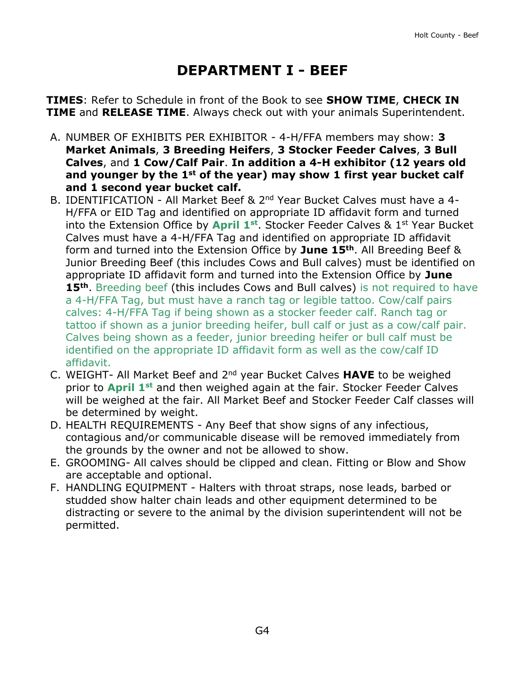# **DEPARTMENT I - BEEF**

<span id="page-6-0"></span>**TIMES**: Refer to Schedule in front of the Book to see **SHOW TIME**, **CHECK IN TIME** and **RELEASE TIME**. Always check out with your animals Superintendent.

- A. NUMBER OF EXHIBITS PER EXHIBITOR 4-H/FFA members may show: **3 Market Animals**, **3 Breeding Heifers**, **3 Stocker Feeder Calves**, **3 Bull Calves**, and **1 Cow/Calf Pair**. **In addition a 4-H exhibitor (12 years old and younger by the 1st of the year) may show 1 first year bucket calf and 1 second year bucket calf.**
- B. IDENTIFICATION All Market Beef & 2<sup>nd</sup> Year Bucket Calves must have a 4-H/FFA or EID Tag and identified on appropriate ID affidavit form and turned into the Extension Office by **April 1st** . Stocker Feeder Calves & 1st Year Bucket Calves must have a 4-H/FFA Tag and identified on appropriate ID affidavit form and turned into the Extension Office by **June 15th**. All Breeding Beef & Junior Breeding Beef (this includes Cows and Bull calves) must be identified on appropriate ID affidavit form and turned into the Extension Office by **June 15th**. Breeding beef (this includes Cows and Bull calves) is not required to have a 4-H/FFA Tag, but must have a ranch tag or legible tattoo. Cow/calf pairs calves: 4-H/FFA Tag if being shown as a stocker feeder calf. Ranch tag or tattoo if shown as a junior breeding heifer, bull calf or just as a cow/calf pair. Calves being shown as a feeder, junior breeding heifer or bull calf must be identified on the appropriate ID affidavit form as well as the cow/calf ID affidavit.
- C. WEIGHT- All Market Beef and 2nd year Bucket Calves **HAVE** to be weighed prior to **April 1st** and then weighed again at the fair. Stocker Feeder Calves will be weighed at the fair. All Market Beef and Stocker Feeder Calf classes will be determined by weight.
- D. HEALTH REQUIREMENTS Any Beef that show signs of any infectious, contagious and/or communicable disease will be removed immediately from the grounds by the owner and not be allowed to show.
- E. GROOMING- All calves should be clipped and clean. Fitting or Blow and Show are acceptable and optional.
- F. HANDLING EQUIPMENT Halters with throat straps, nose leads, barbed or studded show halter chain leads and other equipment determined to be distracting or severe to the animal by the division superintendent will not be permitted.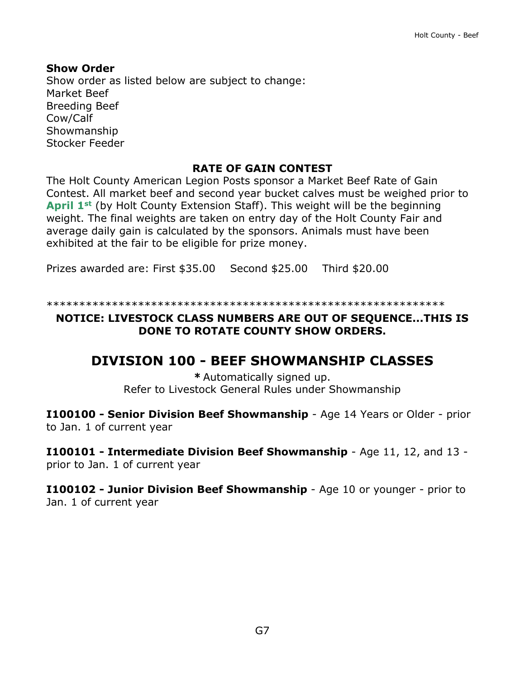#### **Show Order**

Show order as listed below are subject to change: Market Beef Breeding Beef Cow/Calf Showmanship Stocker Feeder

#### **RATE OF GAIN CONTEST**

The Holt County American Legion Posts sponsor a Market Beef Rate of Gain Contest. All market beef and second year bucket calves must be weighed prior to **April 1st** (by Holt County Extension Staff). This weight will be the beginning weight. The final weights are taken on entry day of the Holt County Fair and average daily gain is calculated by the sponsors. Animals must have been exhibited at the fair to be eligible for prize money.

Prizes awarded are: First \$35.00 Second \$25.00 Third \$20.00

\*\*\*\*\*\*\*\*\*\*\*\*\*\*\*\*\*\*\*\*\*\*\*\*\*\*\*\*\*\*\*\*\*\*\*\*\*\*\*\*\*\*\*\*\*\*\*\*\*\*\*\*\*\*\*\*\*\*\*\*\*

#### **NOTICE: LIVESTOCK CLASS NUMBERS ARE OUT OF SEQUENCE...THIS IS DONE TO ROTATE COUNTY SHOW ORDERS.**

### **DIVISION 100 - BEEF SHOWMANSHIP CLASSES**

**\*** Automatically signed up. Refer to Livestock General Rules under Showmanship

**I100100 - Senior Division Beef Showmanship** - Age 14 Years or Older - prior to Jan. 1 of current year

**I100101 - Intermediate Division Beef Showmanship** - Age 11, 12, and 13 prior to Jan. 1 of current year

**I100102 - Junior Division Beef Showmanship** - Age 10 or younger - prior to Jan. 1 of current year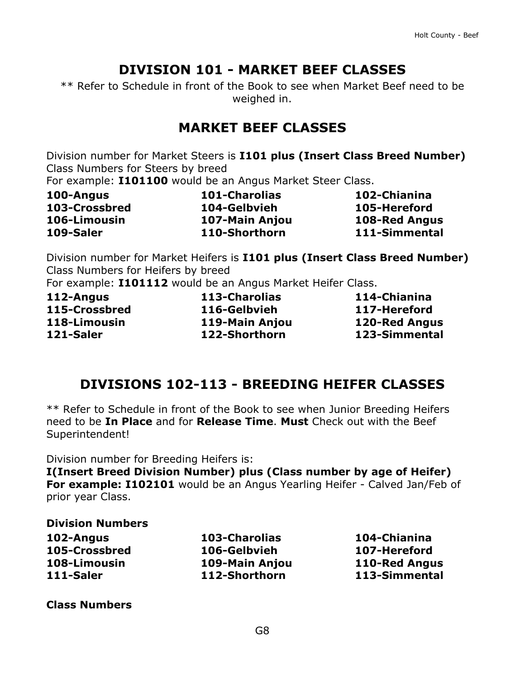## **DIVISION 101 - MARKET BEEF CLASSES**

\*\* Refer to Schedule in front of the Book to see when Market Beef need to be weighed in.

### **MARKET BEEF CLASSES**

Division number for Market Steers is **I101 plus (Insert Class Breed Number)** Class Numbers for Steers by breed

For example: **I101100** would be an Angus Market Steer Class.

| 100-Angus     | <b>101-Charolias</b> | 102-Chianina         |
|---------------|----------------------|----------------------|
| 103-Crossbred | 104-Gelbvieh         | 105-Hereford         |
| 106-Limousin  | 107-Main Anjou       | <b>108-Red Angus</b> |
| 109-Saler     | 110-Shorthorn        | 111-Simmental        |

Division number for Market Heifers is **I101 plus (Insert Class Breed Number)** Class Numbers for Heifers by breed

For example: **I101112** would be an Angus Market Heifer Class.

| 112-Angus     |
|---------------|
| 115-Crossbred |
| 118-Limousin  |
| 121-Saler     |

**112-Angus 113-Charolias 114-Chianina 115-Crossbred 116-Gelbvieh 117-Hereford 118-Limousin 119-Main Anjou 120-Red Angus 121-Saler 122-Shorthorn 123-Simmental**

## **DIVISIONS 102-113 - BREEDING HEIFER CLASSES**

\*\* Refer to Schedule in front of the Book to see when Junior Breeding Heifers need to be **In Place** and for **Release Time**. **Must** Check out with the Beef Superintendent!

Division number for Breeding Heifers is:

**I(Insert Breed Division Number) plus (Class number by age of Heifer) For example: I102101** would be an Angus Yearling Heifer - Calved Jan/Feb of prior year Class.

#### **Division Numbers**

| 103-Charoli |
|-------------|
| 106-Gelbvie |
| 109-Main A  |
| 112-Shorth  |
|             |

**102-Angus 103-Charolias 104-Chianina 105-Crossbred 106-Gelbvieh 107-Hereford 108-Limousin 109-Main Anjou 110-Red Angus 111-Saler 112-Shorthorn 113-Simmental**

**Class Numbers**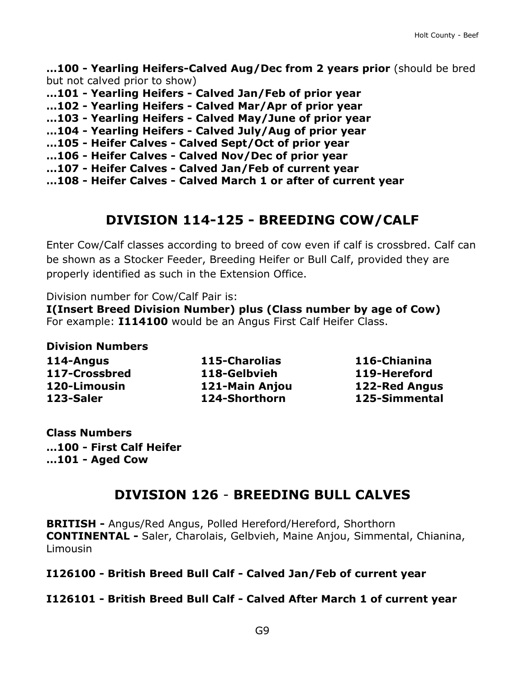**…100 - Yearling Heifers-Calved Aug/Dec from 2 years prior** (should be bred but not calved prior to show)

- **…101 - Yearling Heifers - Calved Jan/Feb of prior year**
- **…102 - Yearling Heifers - Calved Mar/Apr of prior year**
- **…103 - Yearling Heifers - Calved May/June of prior year**
- **…104 - Yearling Heifers - Calved July/Aug of prior year**
- **…105 - Heifer Calves - Calved Sept/Oct of prior year**
- **…106 - Heifer Calves - Calved Nov/Dec of prior year**
- **…107 - Heifer Calves - Calved Jan/Feb of current year**
- **…108 - Heifer Calves - Calved March 1 or after of current year**

### **DIVISION 114-125 - BREEDING COW/CALF**

Enter Cow/Calf classes according to breed of cow even if calf is crossbred. Calf can be shown as a Stocker Feeder, Breeding Heifer or Bull Calf, provided they are properly identified as such in the Extension Office.

Division number for Cow/Calf Pair is:

**I(Insert Breed Division Number) plus (Class number by age of Cow)** For example: **I114100** would be an Angus First Calf Heifer Class.

**Division Numbers**

**114-Angus 115-Charolias 116-Chianina 117-Crossbred 118-Gelbvieh 119-Hereford 120-Limousin 121-Main Anjou 122-Red Angus 123-Saler 124-Shorthorn 125-Simmental**

**Class Numbers …100 - First Calf Heifer …101 - Aged Cow**

## **DIVISION 126** - **BREEDING BULL CALVES**

**BRITISH -** Angus/Red Angus, Polled Hereford/Hereford, Shorthorn **CONTINENTAL -** Saler, Charolais, Gelbvieh, Maine Anjou, Simmental, Chianina, Limousin

**I126100 - British Breed Bull Calf - Calved Jan/Feb of current year**

#### **I126101 - British Breed Bull Calf - Calved After March 1 of current year**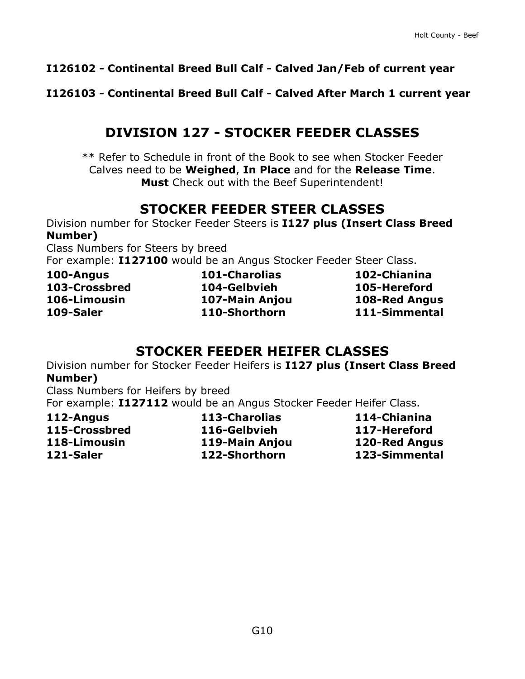### **I126102 - Continental Breed Bull Calf - Calved Jan/Feb of current year**

#### **I126103 - Continental Breed Bull Calf - Calved After March 1 current year**

### **DIVISION 127 - STOCKER FEEDER CLASSES**

\*\* Refer to Schedule in front of the Book to see when Stocker Feeder Calves need to be **Weighed**, **In Place** and for the **Release Time**. **Must** Check out with the Beef Superintendent!

## **STOCKER FEEDER STEER CLASSES**

Division number for Stocker Feeder Steers is **I127 plus (Insert Class Breed Number)**

Class Numbers for Steers by breed

For example: **I127100** would be an Angus Stocker Feeder Steer Class.

**100-Angus 101-Charolias 102-Chianina 103-Crossbred 104-Gelbvieh 105-Hereford 106-Limousin 107-Main Anjou 108-Red Angus 109-Saler 110-Shorthorn 111-Simmental**

### **STOCKER FEEDER HEIFER CLASSES**

Division number for Stocker Feeder Heifers is **I127 plus (Insert Class Breed Number)**

Class Numbers for Heifers by breed

For example: **I127112** would be an Angus Stocker Feeder Heifer Class.

**112-Angus 113-Charolias 114-Chianina 115-Crossbred 116-Gelbvieh 117-Hereford 118-Limousin 119-Main Anjou 120-Red Angus 121-Saler 122-Shorthorn 123-Simmental**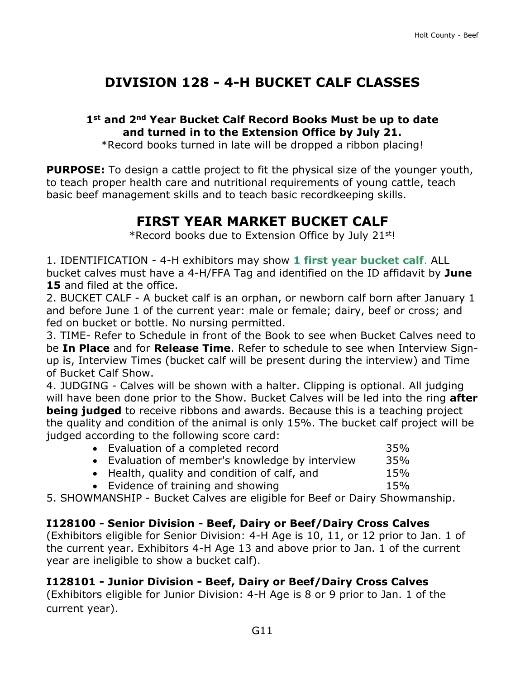# **DIVISION 128 - 4-H BUCKET CALF CLASSES**

### **1st and 2nd Year Bucket Calf Record Books Must be up to date and turned in to the Extension Office by July 21.**

\*Record books turned in late will be dropped a ribbon placing!

**PURPOSE:** To design a cattle project to fit the physical size of the younger youth, to teach proper health care and nutritional requirements of young cattle, teach basic beef management skills and to teach basic recordkeeping skills.

# **FIRST YEAR MARKET BUCKET CALF**

\*Record books due to Extension Office by July 21st!

1. IDENTIFICATION - 4-H exhibitors may show **1 first year bucket calf**. ALL bucket calves must have a 4-H/FFA Tag and identified on the ID affidavit by **June 15** and filed at the office.

2. BUCKET CALF - A bucket calf is an orphan, or newborn calf born after January 1 and before June 1 of the current year: male or female; dairy, beef or cross; and fed on bucket or bottle. No nursing permitted.

3. TIME- Refer to Schedule in front of the Book to see when Bucket Calves need to be **In Place** and for **Release Time**. Refer to schedule to see when Interview Signup is, Interview Times (bucket calf will be present during the interview) and Time of Bucket Calf Show.

4. JUDGING - Calves will be shown with a halter. Clipping is optional. All judging will have been done prior to the Show. Bucket Calves will be led into the ring **after being judged** to receive ribbons and awards. Because this is a teaching project the quality and condition of the animal is only 15%. The bucket calf project will be judged according to the following score card:

| • Evaluation of a completed record              | 35% |
|-------------------------------------------------|-----|
| • Evaluation of member's knowledge by interview | 35% |
| • Health, quality and condition of calf, and    | 15% |
| • Evidence of training and showing              | 15% |

5. SHOWMANSHIP - Bucket Calves are eligible for Beef or Dairy Showmanship.

### **I128100 - Senior Division - Beef, Dairy or Beef/Dairy Cross Calves**

(Exhibitors eligible for Senior Division: 4-H Age is 10, 11, or 12 prior to Jan. 1 of the current year. Exhibitors 4-H Age 13 and above prior to Jan. 1 of the current year are ineligible to show a bucket calf).

### **I128101 - Junior Division - Beef, Dairy or Beef/Dairy Cross Calves**

(Exhibitors eligible for Junior Division: 4-H Age is 8 or 9 prior to Jan. 1 of the current year).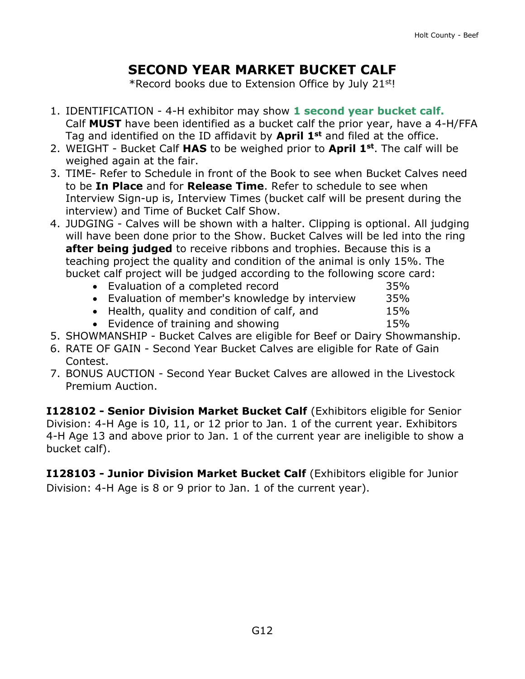# **SECOND YEAR MARKET BUCKET CALF**

\*Record books due to Extension Office by July 21st!

- 1. IDENTIFICATION 4-H exhibitor may show **1 second year bucket calf.** Calf **MUST** have been identified as a bucket calf the prior year, have a 4-H/FFA Tag and identified on the ID affidavit by **April 1st** and filed at the office.
- 2. WEIGHT Bucket Calf **HAS** to be weighed prior to **April 1st**. The calf will be weighed again at the fair.
- 3. TIME- Refer to Schedule in front of the Book to see when Bucket Calves need to be **In Place** and for **Release Time**. Refer to schedule to see when Interview Sign-up is, Interview Times (bucket calf will be present during the interview) and Time of Bucket Calf Show.
- 4. JUDGING Calves will be shown with a halter. Clipping is optional. All judging will have been done prior to the Show. Bucket Calves will be led into the ring **after being judged** to receive ribbons and trophies. Because this is a teaching project the quality and condition of the animal is only 15%. The bucket calf project will be judged according to the following score card:

| • Evaluation of a completed record              | 35% |
|-------------------------------------------------|-----|
| • Evaluation of member's knowledge by interview | 35% |
| • Health, quality and condition of calf, and    | 15% |
| • Evidence of training and showing              | 15% |

- 5. SHOWMANSHIP Bucket Calves are eligible for Beef or Dairy Showmanship.
- 6. RATE OF GAIN Second Year Bucket Calves are eligible for Rate of Gain Contest.
- 7. BONUS AUCTION Second Year Bucket Calves are allowed in the Livestock Premium Auction.

**I128102 - Senior Division Market Bucket Calf** (Exhibitors eligible for Senior Division: 4-H Age is 10, 11, or 12 prior to Jan. 1 of the current year. Exhibitors 4-H Age 13 and above prior to Jan. 1 of the current year are ineligible to show a bucket calf).

**I128103 - Junior Division Market Bucket Calf** (Exhibitors eligible for Junior Division: 4-H Age is 8 or 9 prior to Jan. 1 of the current year).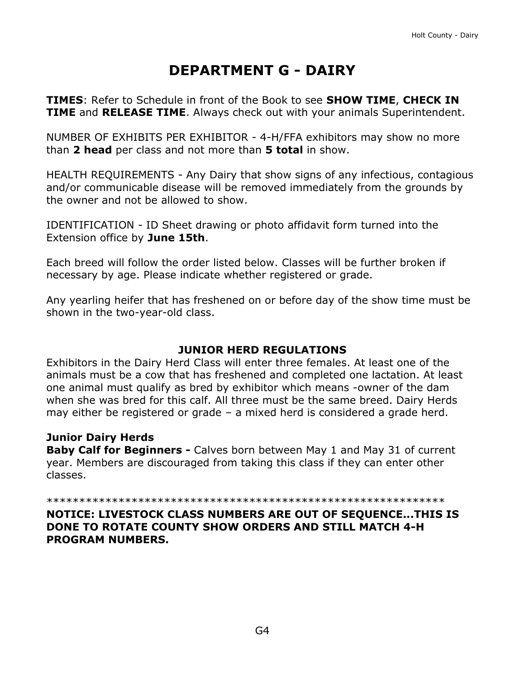# **DEPARTMENT G - DAIRY**

<span id="page-14-0"></span>**TIMES**: Refer to Schedule in front of the Book to see **SHOW TIME**, **CHECK IN TIME** and **RELEASE TIME**. Always check out with your animals Superintendent.

NUMBER OF EXHIBITS PER EXHIBITOR - 4-H/FFA exhibitors may show no more than **2 head** per class and not more than **5 total** in show.

HEALTH REQUIREMENTS - Any Dairy that show signs of any infectious, contagious and/or communicable disease will be removed immediately from the grounds by the owner and not be allowed to show.

IDENTIFICATION - ID Sheet drawing or photo affidavit form turned into the Extension office by **June 15th**.

Each breed will follow the order listed below. Classes will be further broken if necessary by age. Please indicate whether registered or grade.

Any yearling heifer that has freshened on or before day of the show time must be shown in the two-year-old class.

### **JUNIOR HERD REGULATIONS**

Exhibitors in the Dairy Herd Class will enter three females. At least one of the animals must be a cow that has freshened and completed one lactation. At least one animal must qualify as bred by exhibitor which means -owner of the dam when she was bred for this calf. All three must be the same breed. Dairy Herds may either be registered or grade – a mixed herd is considered a grade herd.

### **Junior Dairy Herds**

**Baby Calf for Beginners -** Calves born between May 1 and May 31 of current year. Members are discouraged from taking this class if they can enter other classes.

\*\*\*\*\*\*\*\*\*\*\*\*\*\*\*\*\*\*\*\*\*\*\*\*\*\*\*\*\*\*\*\*\*\*\*\*\*\*\*\*\*\*\*\*\*\*\*\*\*\*\*\*\*\*\*\*\*\*\*\*\*

#### **NOTICE: LIVESTOCK CLASS NUMBERS ARE OUT OF SEQUENCE...THIS IS DONE TO ROTATE COUNTY SHOW ORDERS AND STILL MATCH 4-H PROGRAM NUMBERS.**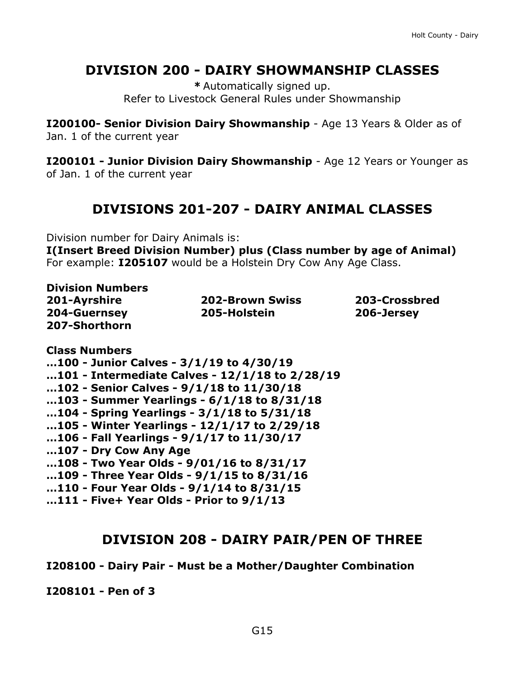## **DIVISION 200 - DAIRY SHOWMANSHIP CLASSES**

**\*** Automatically signed up. Refer to Livestock General Rules under Showmanship

**I200100- Senior Division Dairy Showmanship** - Age 13 Years & Older as of Jan. 1 of the current year

**I200101 - Junior Division Dairy Showmanship** - Age 12 Years or Younger as of Jan. 1 of the current year

## **DIVISIONS 201-207 - DAIRY ANIMAL CLASSES**

Division number for Dairy Animals is:

**I(Insert Breed Division Number) plus (Class number by age of Animal)** For example: **I205107** would be a Holstein Dry Cow Any Age Class.

| <b>Division Numbers</b> |                        |               |
|-------------------------|------------------------|---------------|
| 201-Ayrshire            | <b>202-Brown Swiss</b> | 203-Crossbred |
| 204-Guernsey            | 205-Holstein           | 206-Jersey    |
| 207-Shorthorn           |                        |               |

**Class Numbers**

**…100 - Junior Calves - 3/1/19 to 4/30/19**

**…101 - Intermediate Calves - 12/1/18 to 2/28/19**

- **…102 - Senior Calves - 9/1/18 to 11/30/18**
- **…103 - Summer Yearlings - 6/1/18 to 8/31/18**
- **…104 - Spring Yearlings - 3/1/18 to 5/31/18**
- **…105 - Winter Yearlings - 12/1/17 to 2/29/18**
- **…106 - Fall Yearlings - 9/1/17 to 11/30/17**
- **…107 - Dry Cow Any Age**
- **…108 - Two Year Olds - 9/01/16 to 8/31/17**
- **…109 - Three Year Olds - 9/1/15 to 8/31/16**
- **…110 - Four Year Olds - 9/1/14 to 8/31/15**
- **…111 - Five+ Year Olds - Prior to 9/1/13**

### **DIVISION 208 - DAIRY PAIR/PEN OF THREE**

#### **I208100 - Dairy Pair - Must be a Mother/Daughter Combination**

**I208101 - Pen of 3**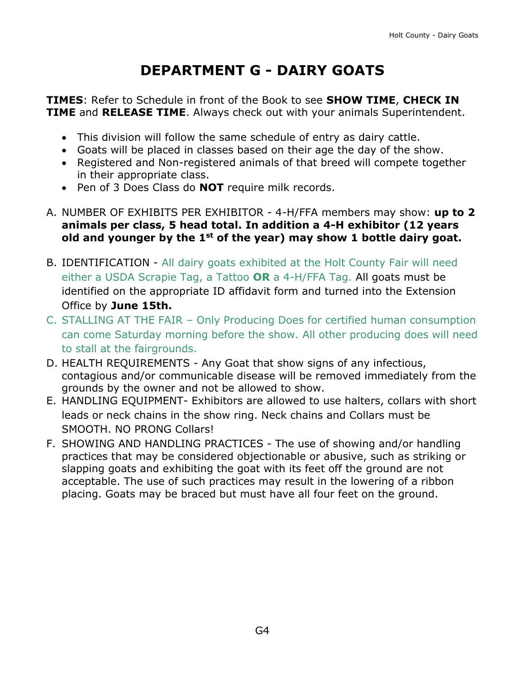# **DEPARTMENT G - DAIRY GOATS**

<span id="page-16-0"></span>**TIMES**: Refer to Schedule in front of the Book to see **SHOW TIME**, **CHECK IN TIME** and **RELEASE TIME**. Always check out with your animals Superintendent.

- This division will follow the same schedule of entry as dairy cattle.
- Goats will be placed in classes based on their age the day of the show.
- Registered and Non-registered animals of that breed will compete together in their appropriate class.
- Pen of 3 Does Class do **NOT** require milk records.
- A. NUMBER OF EXHIBITS PER EXHIBITOR 4-H/FFA members may show: **up to 2 animals per class, 5 head total. In addition a 4-H exhibitor (12 years old and younger by the 1st of the year) may show 1 bottle dairy goat.**
- B. IDENTIFICATION All dairy goats exhibited at the Holt County Fair will need either a USDA Scrapie Tag, a Tattoo **OR** a 4-H/FFA Tag. All goats must be identified on the appropriate ID affidavit form and turned into the Extension Office by **June 15th.**
- C. STALLING AT THE FAIR Only Producing Does for certified human consumption can come Saturday morning before the show. All other producing does will need to stall at the fairgrounds.
- D. HEALTH REQUIREMENTS Any Goat that show signs of any infectious, contagious and/or communicable disease will be removed immediately from the grounds by the owner and not be allowed to show.
- E. HANDLING EQUIPMENT- Exhibitors are allowed to use halters, collars with short leads or neck chains in the show ring. Neck chains and Collars must be SMOOTH. NO PRONG Collars!
- F. SHOWING AND HANDLING PRACTICES The use of showing and/or handling practices that may be considered objectionable or abusive, such as striking or slapping goats and exhibiting the goat with its feet off the ground are not acceptable. The use of such practices may result in the lowering of a ribbon placing. Goats may be braced but must have all four feet on the ground.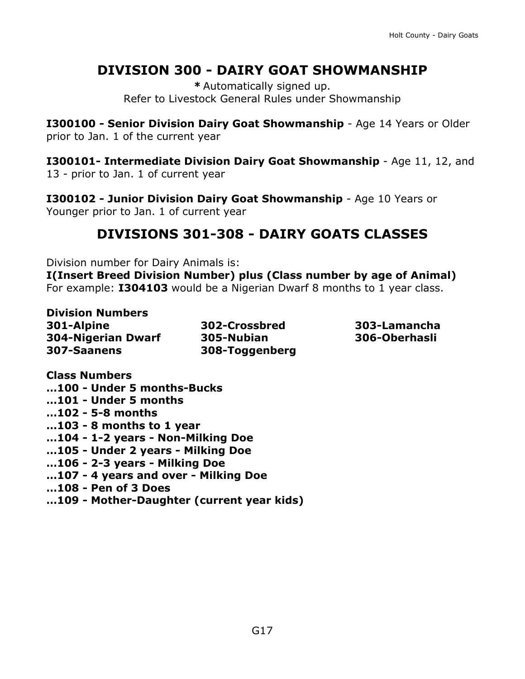## **DIVISION 300 - DAIRY GOAT SHOWMANSHIP**

**\*** Automatically signed up. Refer to Livestock General Rules under Showmanship

**I300100 - Senior Division Dairy Goat Showmanship** - Age 14 Years or Older prior to Jan. 1 of the current year

**I300101- Intermediate Division Dairy Goat Showmanship** - Age 11, 12, and 13 - prior to Jan. 1 of current year

**I300102 - Junior Division Dairy Goat Showmanship** - Age 10 Years or Younger prior to Jan. 1 of current year

## **DIVISIONS 301-308 - DAIRY GOATS CLASSES**

Division number for Dairy Animals is:

**I(Insert Breed Division Number) plus (Class number by age of Animal)** For example: **I304103** would be a Nigerian Dwarf 8 months to 1 year class.

**Division Numbers 301-Alpine 302-Crossbred 303-Lamancha 304-Nigerian Dwarf 305-Nubian 306-Oberhasli 307-Saanens 308-Toggenberg**

**Class Numbers …100 - Under 5 months-Bucks …101 - Under 5 months …102 - 5-8 months …103 - 8 months to 1 year …104 - 1-2 years - Non-Milking Doe …105 - Under 2 years - Milking Doe …106 - 2-3 years - Milking Doe …107 - 4 years and over - Milking Doe …108 - Pen of 3 Does**

**…109 - Mother-Daughter (current year kids)**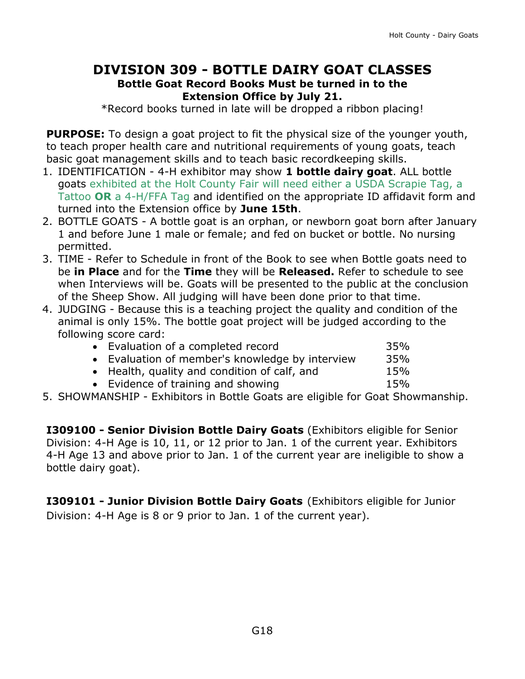### **DIVISION 309 - BOTTLE DAIRY GOAT CLASSES Bottle Goat Record Books Must be turned in to the Extension Office by July 21.**

\*Record books turned in late will be dropped a ribbon placing!

**PURPOSE:** To design a goat project to fit the physical size of the younger youth, to teach proper health care and nutritional requirements of young goats, teach basic goat management skills and to teach basic recordkeeping skills.

- 1. IDENTIFICATION 4-H exhibitor may show **1 bottle dairy goat**. ALL bottle goats exhibited at the Holt County Fair will need either a USDA Scrapie Tag, a Tattoo **OR** a 4-H/FFA Tag and identified on the appropriate ID affidavit form and turned into the Extension office by **June 15th**.
- 2. BOTTLE GOATS A bottle goat is an orphan, or newborn goat born after January 1 and before June 1 male or female; and fed on bucket or bottle. No nursing permitted.
- 3. TIME Refer to Schedule in front of the Book to see when Bottle goats need to be **in Place** and for the **Time** they will be **Released.** Refer to schedule to see when Interviews will be. Goats will be presented to the public at the conclusion of the Sheep Show. All judging will have been done prior to that time.
- 4. JUDGING Because this is a teaching project the quality and condition of the animal is only 15%. The bottle goat project will be judged according to the following score card:

| • Evaluation of a completed record              | 35% |
|-------------------------------------------------|-----|
| • Evaluation of member's knowledge by interview | 35% |
| • Health, quality and condition of calf, and    | 15% |
| • Evidence of training and showing              | 15% |
|                                                 |     |

5. SHOWMANSHIP - Exhibitors in Bottle Goats are eligible for Goat Showmanship.

**I309100 - Senior Division Bottle Dairy Goats** (Exhibitors eligible for Senior Division: 4-H Age is 10, 11, or 12 prior to Jan. 1 of the current year. Exhibitors 4-H Age 13 and above prior to Jan. 1 of the current year are ineligible to show a bottle dairy goat).

**I309101 - Junior Division Bottle Dairy Goats** (Exhibitors eligible for Junior Division: 4-H Age is 8 or 9 prior to Jan. 1 of the current year).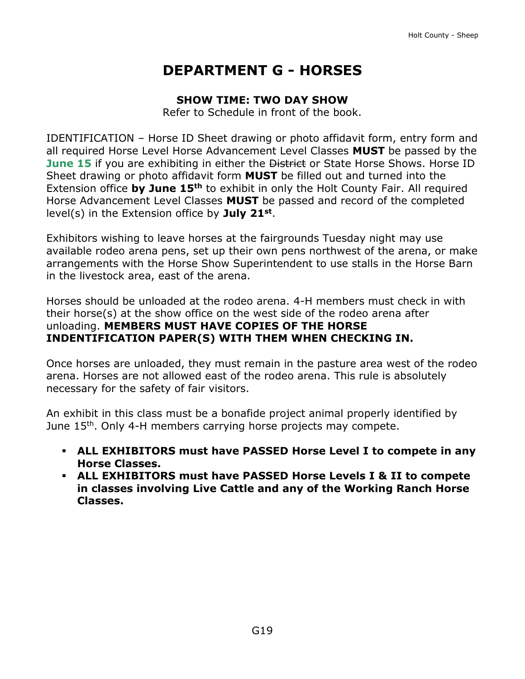# **DEPARTMENT G - HORSES**

#### **SHOW TIME: TWO DAY SHOW**

Refer to Schedule in front of the book.

<span id="page-19-0"></span>IDENTIFICATION – Horse ID Sheet drawing or photo affidavit form, entry form and all required Horse Level Horse Advancement Level Classes **MUST** be passed by the **June 15** if you are exhibiting in either the **District** or State Horse Shows. Horse ID Sheet drawing or photo affidavit form **MUST** be filled out and turned into the Extension office **by June 15th** to exhibit in only the Holt County Fair. All required Horse Advancement Level Classes **MUST** be passed and record of the completed level(s) in the Extension office by **July 21st** .

Exhibitors wishing to leave horses at the fairgrounds Tuesday night may use available rodeo arena pens, set up their own pens northwest of the arena, or make arrangements with the Horse Show Superintendent to use stalls in the Horse Barn in the livestock area, east of the arena.

Horses should be unloaded at the rodeo arena. 4-H members must check in with their horse(s) at the show office on the west side of the rodeo arena after unloading. **MEMBERS MUST HAVE COPIES OF THE HORSE INDENTIFICATION PAPER(S) WITH THEM WHEN CHECKING IN.**

Once horses are unloaded, they must remain in the pasture area west of the rodeo arena. Horses are not allowed east of the rodeo arena. This rule is absolutely necessary for the safety of fair visitors.

An exhibit in this class must be a bonafide project animal properly identified by June 15<sup>th</sup>. Only 4-H members carrying horse projects may compete.

- **ALL EXHIBITORS must have PASSED Horse Level I to compete in any Horse Classes.**
- **ALL EXHIBITORS must have PASSED Horse Levels I & II to compete in classes involving Live Cattle and any of the Working Ranch Horse Classes.**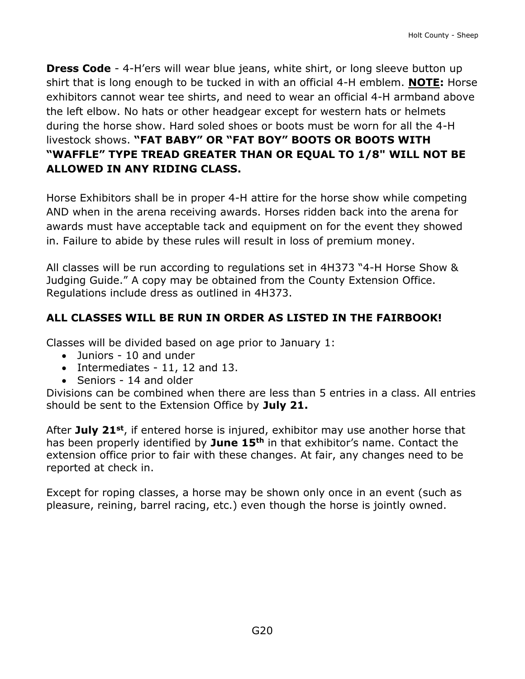**Dress Code** - 4-H'ers will wear blue jeans, white shirt, or long sleeve button up shirt that is long enough to be tucked in with an official 4-H emblem. **NOTE:** Horse exhibitors cannot wear tee shirts, and need to wear an official 4-H armband above the left elbow. No hats or other headgear except for western hats or helmets during the horse show. Hard soled shoes or boots must be worn for all the 4-H livestock shows. **"FAT BABY" OR "FAT BOY" BOOTS OR BOOTS WITH "WAFFLE" TYPE TREAD GREATER THAN OR EQUAL TO 1/8" WILL NOT BE ALLOWED IN ANY RIDING CLASS.** 

Horse Exhibitors shall be in proper 4-H attire for the horse show while competing AND when in the arena receiving awards. Horses ridden back into the arena for awards must have acceptable tack and equipment on for the event they showed in. Failure to abide by these rules will result in loss of premium money.

All classes will be run according to regulations set in 4H373 "4-H Horse Show & Judging Guide." A copy may be obtained from the County Extension Office. Regulations include dress as outlined in 4H373.

### **ALL CLASSES WILL BE RUN IN ORDER AS LISTED IN THE FAIRBOOK!**

Classes will be divided based on age prior to January 1:

- Juniors 10 and under
- Intermediates 11, 12 and 13.
- Seniors 14 and older

Divisions can be combined when there are less than 5 entries in a class. All entries should be sent to the Extension Office by **July 21.**

After **July 21st**, if entered horse is injured, exhibitor may use another horse that has been properly identified by **June 15th** in that exhibitor's name. Contact the extension office prior to fair with these changes. At fair, any changes need to be reported at check in.

Except for roping classes, a horse may be shown only once in an event (such as pleasure, reining, barrel racing, etc.) even though the horse is jointly owned.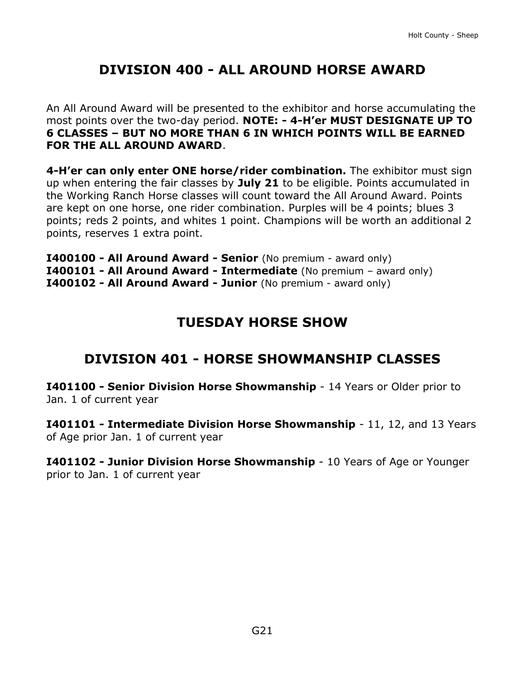# **DIVISION 400 - ALL AROUND HORSE AWARD**

An All Around Award will be presented to the exhibitor and horse accumulating the most points over the two-day period. **NOTE: - 4-H'er MUST DESIGNATE UP TO 6 CLASSES – BUT NO MORE THAN 6 IN WHICH POINTS WILL BE EARNED FOR THE ALL AROUND AWARD**.

**4-H'er can only enter ONE horse/rider combination.** The exhibitor must sign up when entering the fair classes by **July 21** to be eligible. Points accumulated in the Working Ranch Horse classes will count toward the All Around Award. Points are kept on one horse, one rider combination. Purples will be 4 points; blues 3 points; reds 2 points, and whites 1 point. Champions will be worth an additional 2 points, reserves 1 extra point.

**I400100 - All Around Award - Senior** (No premium - award only) **I400101 - All Around Award - Intermediate** (No premium – award only) **I400102 - All Around Award - Junior** (No premium - award only)

## **TUESDAY HORSE SHOW**

## **DIVISION 401 - HORSE SHOWMANSHIP CLASSES**

**I401100 - Senior Division Horse Showmanship** - 14 Years or Older prior to Jan. 1 of current year

**I401101 - Intermediate Division Horse Showmanship** - 11, 12, and 13 Years of Age prior Jan. 1 of current year

**I401102 - Junior Division Horse Showmanship** - 10 Years of Age or Younger prior to Jan. 1 of current year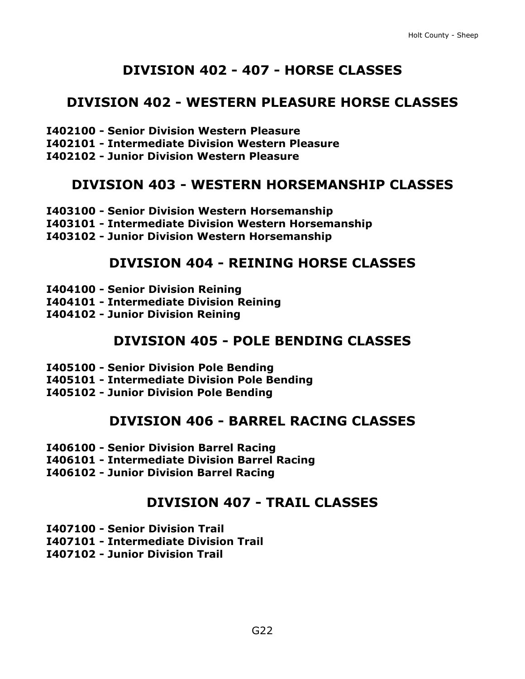## **DIVISION 402 - 407 - HORSE CLASSES**

### **DIVISION 402 - WESTERN PLEASURE HORSE CLASSES**

- **I402100 - Senior Division Western Pleasure**
- **I402101 - Intermediate Division Western Pleasure**
- **I402102 - Junior Division Western Pleasure**

### **DIVISION 403 - WESTERN HORSEMANSHIP CLASSES**

- **I403100 - Senior Division Western Horsemanship**
- **I403101 - Intermediate Division Western Horsemanship**
- **I403102 - Junior Division Western Horsemanship**

### **DIVISION 404 - REINING HORSE CLASSES**

- **I404100 - Senior Division Reining**
- **I404101 - Intermediate Division Reining**
- **I404102 - Junior Division Reining**

### **DIVISION 405 - POLE BENDING CLASSES**

- **I405100 - Senior Division Pole Bending**
- **I405101 - Intermediate Division Pole Bending**
- **I405102 - Junior Division Pole Bending**

### **DIVISION 406 - BARREL RACING CLASSES**

- **I406100 - Senior Division Barrel Racing**
- **I406101 - Intermediate Division Barrel Racing**
- **I406102 - Junior Division Barrel Racing**

### **DIVISION 407 - TRAIL CLASSES**

- **I407100 - Senior Division Trail**
- **I407101 - Intermediate Division Trail**
- **I407102 - Junior Division Trail**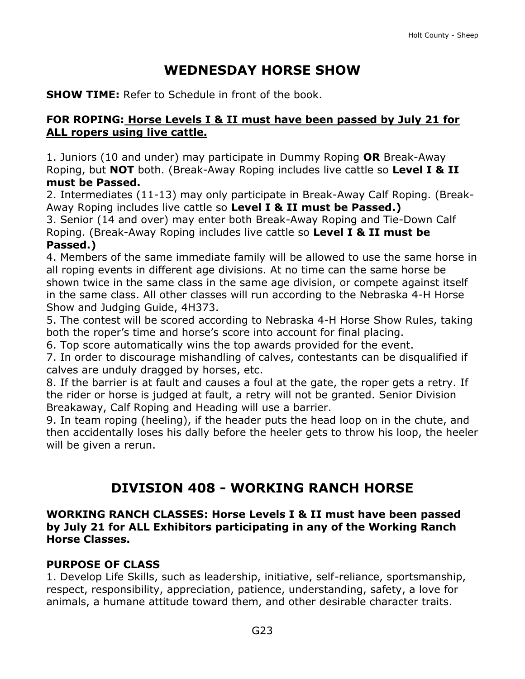# **WEDNESDAY HORSE SHOW**

**SHOW TIME:** Refer to Schedule in front of the book.

### **FOR ROPING: Horse Levels I & II must have been passed by July 21 for ALL ropers using live cattle.**

1. Juniors (10 and under) may participate in Dummy Roping **OR** Break-Away Roping, but **NOT** both. (Break-Away Roping includes live cattle so **Level I & II must be Passed.**

2. Intermediates (11-13) may only participate in Break-Away Calf Roping. (Break-Away Roping includes live cattle so **Level I & II must be Passed.)**

3. Senior (14 and over) may enter both Break-Away Roping and Tie-Down Calf Roping. (Break-Away Roping includes live cattle so **Level I & II must be Passed.)**

4. Members of the same immediate family will be allowed to use the same horse in all roping events in different age divisions. At no time can the same horse be shown twice in the same class in the same age division, or compete against itself in the same class. All other classes will run according to the Nebraska 4-H Horse Show and Judging Guide, 4H373.

5. The contest will be scored according to Nebraska 4-H Horse Show Rules, taking both the roper's time and horse's score into account for final placing.

6. Top score automatically wins the top awards provided for the event.

7. In order to discourage mishandling of calves, contestants can be disqualified if calves are unduly dragged by horses, etc.

8. If the barrier is at fault and causes a foul at the gate, the roper gets a retry. If the rider or horse is judged at fault, a retry will not be granted. Senior Division Breakaway, Calf Roping and Heading will use a barrier.

9. In team roping (heeling), if the header puts the head loop on in the chute, and then accidentally loses his dally before the heeler gets to throw his loop, the heeler will be given a rerun.

## **DIVISION 408 - WORKING RANCH HORSE**

#### **WORKING RANCH CLASSES: Horse Levels I & II must have been passed by July 21 for ALL Exhibitors participating in any of the Working Ranch Horse Classes.**

### **PURPOSE OF CLASS**

1. Develop Life Skills, such as leadership, initiative, self-reliance, sportsmanship, respect, responsibility, appreciation, patience, understanding, safety, a love for animals, a humane attitude toward them, and other desirable character traits.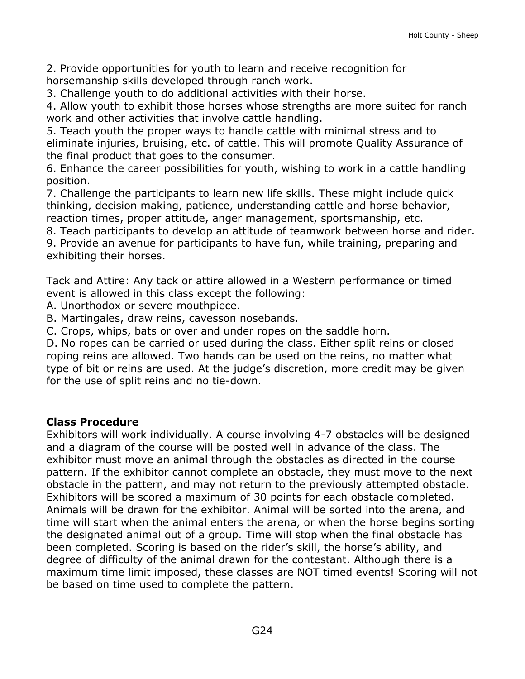2. Provide opportunities for youth to learn and receive recognition for horsemanship skills developed through ranch work.

3. Challenge youth to do additional activities with their horse.

4. Allow youth to exhibit those horses whose strengths are more suited for ranch work and other activities that involve cattle handling.

5. Teach youth the proper ways to handle cattle with minimal stress and to eliminate injuries, bruising, etc. of cattle. This will promote Quality Assurance of the final product that goes to the consumer.

6. Enhance the career possibilities for youth, wishing to work in a cattle handling position.

7. Challenge the participants to learn new life skills. These might include quick thinking, decision making, patience, understanding cattle and horse behavior, reaction times, proper attitude, anger management, sportsmanship, etc.

8. Teach participants to develop an attitude of teamwork between horse and rider.

9. Provide an avenue for participants to have fun, while training, preparing and exhibiting their horses.

Tack and Attire: Any tack or attire allowed in a Western performance or timed event is allowed in this class except the following:

A. Unorthodox or severe mouthpiece.

B. Martingales, draw reins, cavesson nosebands.

C. Crops, whips, bats or over and under ropes on the saddle horn.

D. No ropes can be carried or used during the class. Either split reins or closed roping reins are allowed. Two hands can be used on the reins, no matter what type of bit or reins are used. At the judge's discretion, more credit may be given for the use of split reins and no tie-down.

### **Class Procedure**

Exhibitors will work individually. A course involving 4-7 obstacles will be designed and a diagram of the course will be posted well in advance of the class. The exhibitor must move an animal through the obstacles as directed in the course pattern. If the exhibitor cannot complete an obstacle, they must move to the next obstacle in the pattern, and may not return to the previously attempted obstacle. Exhibitors will be scored a maximum of 30 points for each obstacle completed. Animals will be drawn for the exhibitor. Animal will be sorted into the arena, and time will start when the animal enters the arena, or when the horse begins sorting the designated animal out of a group. Time will stop when the final obstacle has been completed. Scoring is based on the rider's skill, the horse's ability, and degree of difficulty of the animal drawn for the contestant. Although there is a maximum time limit imposed, these classes are NOT timed events! Scoring will not be based on time used to complete the pattern.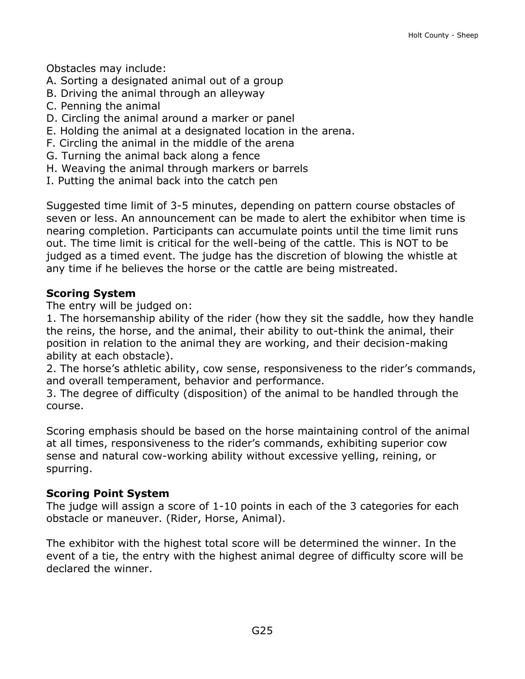Obstacles may include:

- A. Sorting a designated animal out of a group
- B. Driving the animal through an alleyway
- C. Penning the animal
- D. Circling the animal around a marker or panel
- E. Holding the animal at a designated location in the arena.
- F. Circling the animal in the middle of the arena
- G. Turning the animal back along a fence
- H. Weaving the animal through markers or barrels
- I. Putting the animal back into the catch pen

Suggested time limit of 3-5 minutes, depending on pattern course obstacles of seven or less. An announcement can be made to alert the exhibitor when time is nearing completion. Participants can accumulate points until the time limit runs out. The time limit is critical for the well-being of the cattle. This is NOT to be judged as a timed event. The judge has the discretion of blowing the whistle at any time if he believes the horse or the cattle are being mistreated.

### **Scoring System**

The entry will be judged on:

1. The horsemanship ability of the rider (how they sit the saddle, how they handle the reins, the horse, and the animal, their ability to out-think the animal, their position in relation to the animal they are working, and their decision-making ability at each obstacle).

2. The horse's athletic ability, cow sense, responsiveness to the rider's commands, and overall temperament, behavior and performance.

3. The degree of difficulty (disposition) of the animal to be handled through the course.

Scoring emphasis should be based on the horse maintaining control of the animal at all times, responsiveness to the rider's commands, exhibiting superior cow sense and natural cow-working ability without excessive yelling, reining, or spurring.

#### **Scoring Point System**

The judge will assign a score of 1-10 points in each of the 3 categories for each obstacle or maneuver. (Rider, Horse, Animal).

The exhibitor with the highest total score will be determined the winner. In the event of a tie, the entry with the highest animal degree of difficulty score will be declared the winner.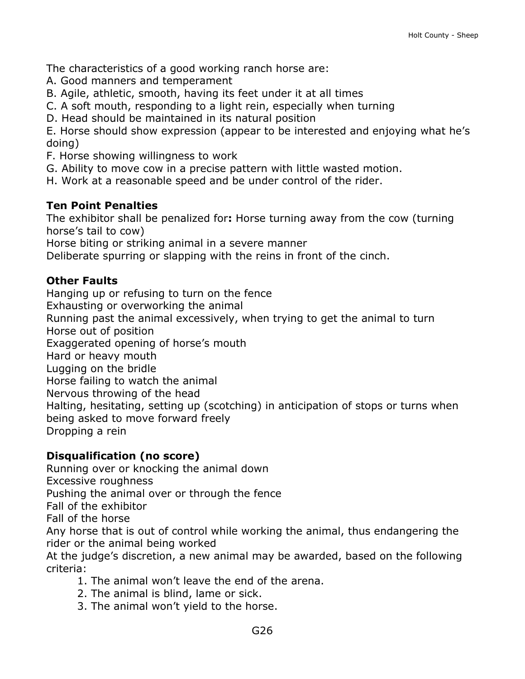The characteristics of a good working ranch horse are:

- A. Good manners and temperament
- B. Agile, athletic, smooth, having its feet under it at all times
- C. A soft mouth, responding to a light rein, especially when turning
- D. Head should be maintained in its natural position

E. Horse should show expression (appear to be interested and enjoying what he's doing)

- F. Horse showing willingness to work
- G. Ability to move cow in a precise pattern with little wasted motion.
- H. Work at a reasonable speed and be under control of the rider.

#### **Ten Point Penalties**

The exhibitor shall be penalized for**:** Horse turning away from the cow (turning horse's tail to cow)

Horse biting or striking animal in a severe manner

Deliberate spurring or slapping with the reins in front of the cinch.

#### **Other Faults**

Hanging up or refusing to turn on the fence Exhausting or overworking the animal Running past the animal excessively, when trying to get the animal to turn Horse out of position Exaggerated opening of horse's mouth Hard or heavy mouth Lugging on the bridle Horse failing to watch the animal Nervous throwing of the head Halting, hesitating, setting up (scotching) in anticipation of stops or turns when being asked to move forward freely Dropping a rein

#### **Disqualification (no score)**

Running over or knocking the animal down

Excessive roughness

Pushing the animal over or through the fence

Fall of the exhibitor

Fall of the horse

Any horse that is out of control while working the animal, thus endangering the rider or the animal being worked

At the judge's discretion, a new animal may be awarded, based on the following criteria:

- 1. The animal won't leave the end of the arena.
- 2. The animal is blind, lame or sick.
- 3. The animal won't yield to the horse.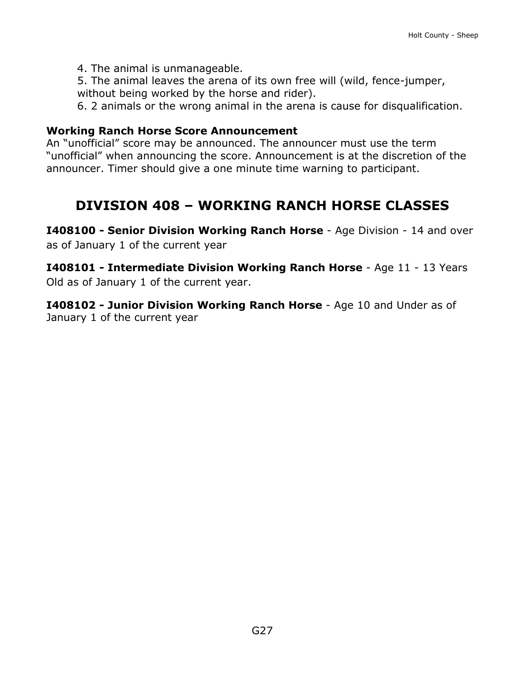4. The animal is unmanageable.

5. The animal leaves the arena of its own free will (wild, fence-jumper, without being worked by the horse and rider).

6. 2 animals or the wrong animal in the arena is cause for disqualification.

#### **Working Ranch Horse Score Announcement**

An "unofficial" score may be announced. The announcer must use the term "unofficial" when announcing the score. Announcement is at the discretion of the announcer. Timer should give a one minute time warning to participant.

## **DIVISION 408 – WORKING RANCH HORSE CLASSES**

**I408100 - Senior Division Working Ranch Horse** - Age Division - 14 and over as of January 1 of the current year

**I408101 - Intermediate Division Working Ranch Horse** - Age 11 - 13 Years Old as of January 1 of the current year.

**I408102 - Junior Division Working Ranch Horse** - Age 10 and Under as of January 1 of the current year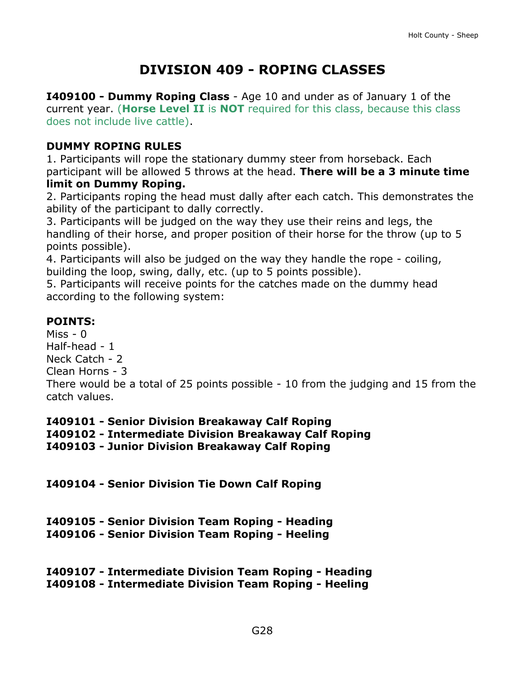# **DIVISION 409 - ROPING CLASSES**

**I409100 - Dummy Roping Class** - Age 10 and under as of January 1 of the current year. (**Horse Level II** is **NOT** required for this class, because this class does not include live cattle).

### **DUMMY ROPING RULES**

1. Participants will rope the stationary dummy steer from horseback. Each participant will be allowed 5 throws at the head. **There will be a 3 minute time limit on Dummy Roping.**

2. Participants roping the head must dally after each catch. This demonstrates the ability of the participant to dally correctly.

3. Participants will be judged on the way they use their reins and legs, the handling of their horse, and proper position of their horse for the throw (up to 5 points possible).

4. Participants will also be judged on the way they handle the rope - coiling, building the loop, swing, dally, etc. (up to 5 points possible).

5. Participants will receive points for the catches made on the dummy head according to the following system:

### **POINTS:**

 $Miss - 0$ Half-head - 1 Neck Catch - 2 Clean Horns - 3 There would be a total of 25 points possible - 10 from the judging and 15 from the catch values.

**I409101 - Senior Division Breakaway Calf Roping I409102 - Intermediate Division Breakaway Calf Roping I409103 - Junior Division Breakaway Calf Roping**

**I409104 - Senior Division Tie Down Calf Roping**

| I409105 - Senior Division Team Roping - Heading |  |  |  |  |
|-------------------------------------------------|--|--|--|--|
|-------------------------------------------------|--|--|--|--|

**I409106 - Senior Division Team Roping - Heeling**

| I409107 - Intermediate Division Team Roping - Heading |  |  |
|-------------------------------------------------------|--|--|
| I409108 - Intermediate Division Team Roping - Heeling |  |  |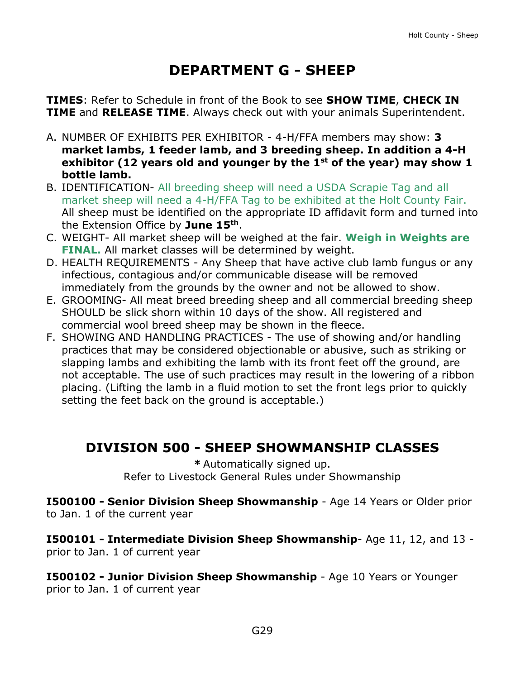# **DEPARTMENT G - SHEEP**

<span id="page-29-0"></span>**TIMES**: Refer to Schedule in front of the Book to see **SHOW TIME**, **CHECK IN TIME** and **RELEASE TIME**. Always check out with your animals Superintendent.

- A. NUMBER OF EXHIBITS PER EXHIBITOR 4-H/FFA members may show: **3 market lambs, 1 feeder lamb, and 3 breeding sheep. In addition a 4-H exhibitor (12 years old and younger by the 1st of the year) may show 1 bottle lamb.**
- B. IDENTIFICATION- All breeding sheep will need a USDA Scrapie Tag and all market sheep will need a 4-H/FFA Tag to be exhibited at the Holt County Fair. All sheep must be identified on the appropriate ID affidavit form and turned into the Extension Office by **June 15th**.
- C. WEIGHT- All market sheep will be weighed at the fair. **Weigh in Weights are FINAL.** All market classes will be determined by weight.
- D. HEALTH REQUIREMENTS Any Sheep that have active club lamb fungus or any infectious, contagious and/or communicable disease will be removed immediately from the grounds by the owner and not be allowed to show.
- E. GROOMING- All meat breed breeding sheep and all commercial breeding sheep SHOULD be slick shorn within 10 days of the show. All registered and commercial wool breed sheep may be shown in the fleece.
- F. SHOWING AND HANDLING PRACTICES The use of showing and/or handling practices that may be considered objectionable or abusive, such as striking or slapping lambs and exhibiting the lamb with its front feet off the ground, are not acceptable. The use of such practices may result in the lowering of a ribbon placing. (Lifting the lamb in a fluid motion to set the front legs prior to quickly setting the feet back on the ground is acceptable.)

# **DIVISION 500 - SHEEP SHOWMANSHIP CLASSES**

**\*** Automatically signed up. Refer to Livestock General Rules under Showmanship

**I500100 - Senior Division Sheep Showmanship** - Age 14 Years or Older prior to Jan. 1 of the current year

**I500101 - Intermediate Division Sheep Showmanship**- Age 11, 12, and 13 prior to Jan. 1 of current year

**I500102 - Junior Division Sheep Showmanship** - Age 10 Years or Younger prior to Jan. 1 of current year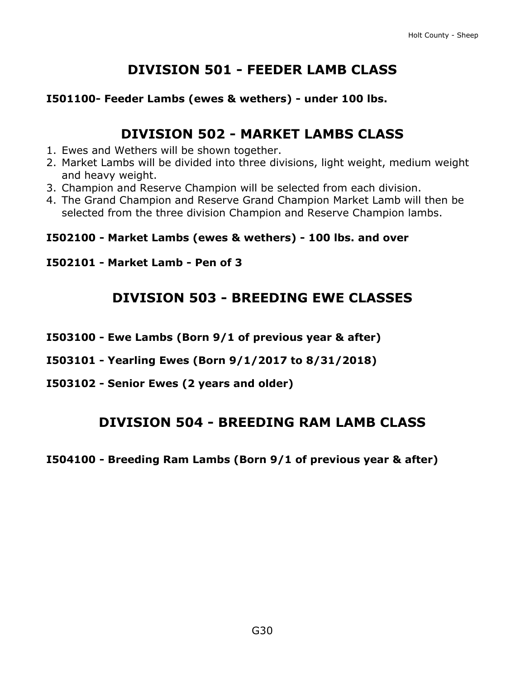# **DIVISION 501 - FEEDER LAMB CLASS**

### **I501100- Feeder Lambs (ewes & wethers) - under 100 lbs.**

### **DIVISION 502 - MARKET LAMBS CLASS**

- 1. Ewes and Wethers will be shown together.
- 2. Market Lambs will be divided into three divisions, light weight, medium weight and heavy weight.
- 3. Champion and Reserve Champion will be selected from each division.
- 4. The Grand Champion and Reserve Grand Champion Market Lamb will then be selected from the three division Champion and Reserve Champion lambs.

### **I502100 - Market Lambs (ewes & wethers) - 100 lbs. and over**

### **I502101 - Market Lamb - Pen of 3**

## **DIVISION 503 - BREEDING EWE CLASSES**

- **I503100 - Ewe Lambs (Born 9/1 of previous year & after)**
- **I503101 - Yearling Ewes (Born 9/1/2017 to 8/31/2018)**
- **I503102 - Senior Ewes (2 years and older)**

### **DIVISION 504 - BREEDING RAM LAMB CLASS**

**I504100 - Breeding Ram Lambs (Born 9/1 of previous year & after)**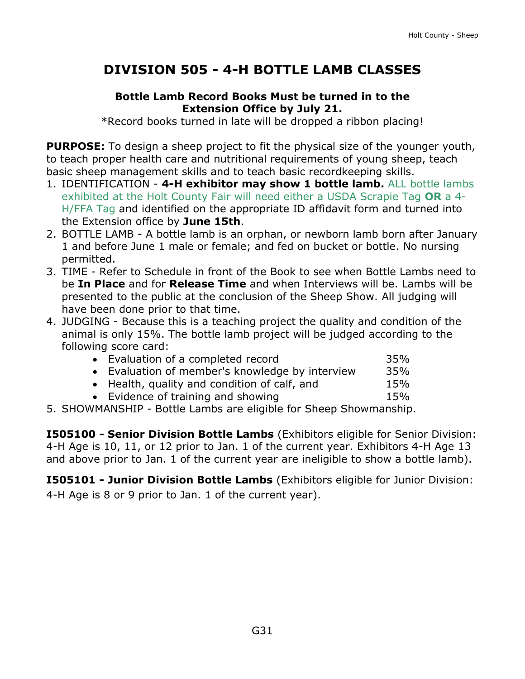# **DIVISION 505 - 4-H BOTTLE LAMB CLASSES**

### **Bottle Lamb Record Books Must be turned in to the Extension Office by July 21.**

\*Record books turned in late will be dropped a ribbon placing!

**PURPOSE:** To design a sheep project to fit the physical size of the younger youth, to teach proper health care and nutritional requirements of young sheep, teach basic sheep management skills and to teach basic recordkeeping skills.

- 1. IDENTIFICATION **4-H exhibitor may show 1 bottle lamb.** ALL bottle lambs exhibited at the Holt County Fair will need either a USDA Scrapie Tag **OR** a 4- H/FFA Tag and identified on the appropriate ID affidavit form and turned into the Extension office by **June 15th**.
- 2. BOTTLE LAMB A bottle lamb is an orphan, or newborn lamb born after January 1 and before June 1 male or female; and fed on bucket or bottle. No nursing permitted.
- 3. TIME Refer to Schedule in front of the Book to see when Bottle Lambs need to be **In Place** and for **Release Time** and when Interviews will be. Lambs will be presented to the public at the conclusion of the Sheep Show. All judging will have been done prior to that time.
- 4. JUDGING Because this is a teaching project the quality and condition of the animal is only 15%. The bottle lamb project will be judged according to the following score card:

| • Evaluation of a completed record              | 35% |
|-------------------------------------------------|-----|
| • Evaluation of member's knowledge by interview | 35% |
| • Health, quality and condition of calf, and    | 15% |
| • Evidence of training and showing              | 15% |
|                                                 |     |

5. SHOWMANSHIP - Bottle Lambs are eligible for Sheep Showmanship.

**I505100 - Senior Division Bottle Lambs** (Exhibitors eligible for Senior Division: 4-H Age is 10, 11, or 12 prior to Jan. 1 of the current year. Exhibitors 4-H Age 13 and above prior to Jan. 1 of the current year are ineligible to show a bottle lamb).

**I505101 - Junior Division Bottle Lambs** (Exhibitors eligible for Junior Division: 4-H Age is 8 or 9 prior to Jan. 1 of the current year).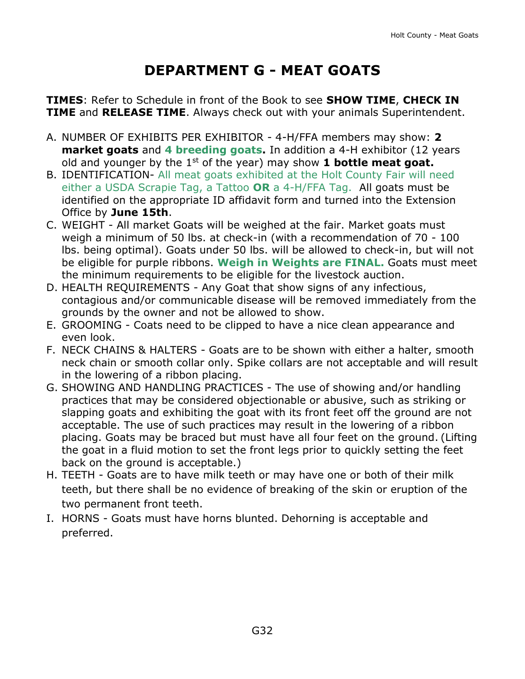# **DEPARTMENT G - MEAT GOATS**

<span id="page-32-0"></span>**TIMES**: Refer to Schedule in front of the Book to see **SHOW TIME**, **CHECK IN TIME** and **RELEASE TIME**. Always check out with your animals Superintendent.

- A. NUMBER OF EXHIBITS PER EXHIBITOR 4-H/FFA members may show: **2 market goats** and **4 breeding goats.** In addition a 4-H exhibitor (12 years old and younger by the 1st of the year) may show **1 bottle meat goat.**
- B. IDENTIFICATION- All meat goats exhibited at the Holt County Fair will need either a USDA Scrapie Tag, a Tattoo **OR** a 4-H/FFA Tag. All goats must be identified on the appropriate ID affidavit form and turned into the Extension Office by **June 15th**.
- C. WEIGHT All market Goats will be weighed at the fair. Market goats must weigh a minimum of 50 lbs. at check-in (with a recommendation of 70 - 100 lbs. being optimal). Goats under 50 lbs. will be allowed to check-in, but will not be eligible for purple ribbons. **Weigh in Weights are FINAL.** Goats must meet the minimum requirements to be eligible for the livestock auction.
- D. HEALTH REQUIREMENTS Any Goat that show signs of any infectious, contagious and/or communicable disease will be removed immediately from the grounds by the owner and not be allowed to show.
- E. GROOMING Coats need to be clipped to have a nice clean appearance and even look.
- F. NECK CHAINS & HALTERS Goats are to be shown with either a halter, smooth neck chain or smooth collar only. Spike collars are not acceptable and will result in the lowering of a ribbon placing.
- G. SHOWING AND HANDLING PRACTICES The use of showing and/or handling practices that may be considered objectionable or abusive, such as striking or slapping goats and exhibiting the goat with its front feet off the ground are not acceptable. The use of such practices may result in the lowering of a ribbon placing. Goats may be braced but must have all four feet on the ground. (Lifting the goat in a fluid motion to set the front legs prior to quickly setting the feet back on the ground is acceptable.)
- H. TEETH Goats are to have milk teeth or may have one or both of their milk teeth, but there shall be no evidence of breaking of the skin or eruption of the two permanent front teeth.
- I. HORNS Goats must have horns blunted. Dehorning is acceptable and preferred.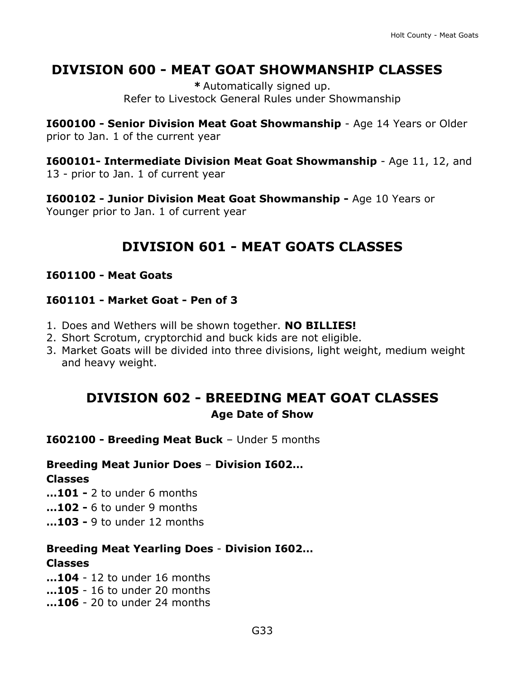## **DIVISION 600 - MEAT GOAT SHOWMANSHIP CLASSES**

**\*** Automatically signed up. Refer to Livestock General Rules under Showmanship

**I600100 - Senior Division Meat Goat Showmanship** - Age 14 Years or Older prior to Jan. 1 of the current year

**I600101- Intermediate Division Meat Goat Showmanship** - Age 11, 12, and 13 - prior to Jan. 1 of current year

**I600102 - Junior Division Meat Goat Showmanship -** Age 10 Years or Younger prior to Jan. 1 of current year

# **DIVISION 601 - MEAT GOATS CLASSES**

### **I601100 - Meat Goats**

### **I601101 - Market Goat - Pen of 3**

- 1. Does and Wethers will be shown together. **NO BILLIES!**
- 2. Short Scrotum, cryptorchid and buck kids are not eligible.
- 3. Market Goats will be divided into three divisions, light weight, medium weight and heavy weight.

## **DIVISION 602 - BREEDING MEAT GOAT CLASSES Age Date of Show**

**I602100 - Breeding Meat Buck** – Under 5 months

### **Breeding Meat Junior Does** – **Division I602…**

#### **Classes**

**…101 -** 2 to under 6 months

- **…102 -** 6 to under 9 months
- **…103 -** 9 to under 12 months

### **Breeding Meat Yearling Does** - **Division I602…**

### **Classes**

**…104** - 12 to under 16 months **…105** - 16 to under 20 months **…106** - 20 to under 24 months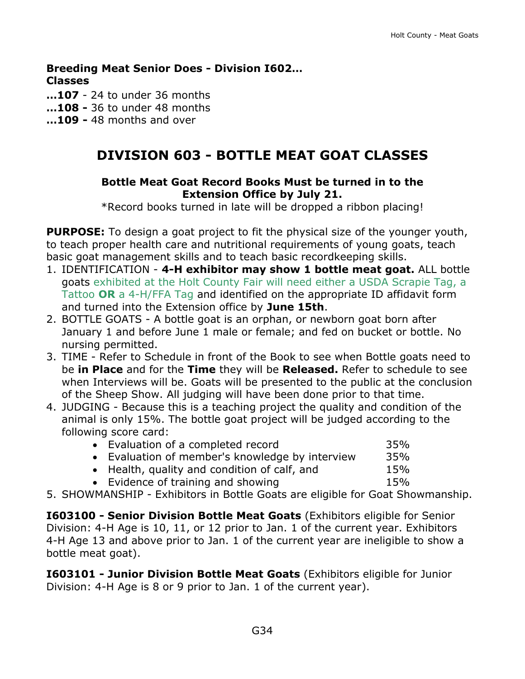**Breeding Meat Senior Does - Division I602… Classes** 

**…107** - 24 to under 36 months

- **…108 -** 36 to under 48 months
- **…109 -** 48 months and over

### **DIVISION 603 - BOTTLE MEAT GOAT CLASSES**

#### **Bottle Meat Goat Record Books Must be turned in to the Extension Office by July 21.**

\*Record books turned in late will be dropped a ribbon placing!

**PURPOSE:** To design a goat project to fit the physical size of the younger youth, to teach proper health care and nutritional requirements of young goats, teach basic goat management skills and to teach basic recordkeeping skills.

- 1. IDENTIFICATION **4-H exhibitor may show 1 bottle meat goat.** ALL bottle goats exhibited at the Holt County Fair will need either a USDA Scrapie Tag, a Tattoo **OR** a 4-H/FFA Tag and identified on the appropriate ID affidavit form and turned into the Extension office by **June 15th**.
- 2. BOTTLE GOATS A bottle goat is an orphan, or newborn goat born after January 1 and before June 1 male or female; and fed on bucket or bottle. No nursing permitted.
- 3. TIME Refer to Schedule in front of the Book to see when Bottle goats need to be **in Place** and for the **Time** they will be **Released.** Refer to schedule to see when Interviews will be. Goats will be presented to the public at the conclusion of the Sheep Show. All judging will have been done prior to that time.
- 4. JUDGING Because this is a teaching project the quality and condition of the animal is only 15%. The bottle goat project will be judged according to the following score card:

| • Evaluation of a completed record              | 35% |
|-------------------------------------------------|-----|
| • Evaluation of member's knowledge by interview | 35% |
| • Health, quality and condition of calf, and    | 15% |
| • Evidence of training and showing              | 15% |

5. SHOWMANSHIP - Exhibitors in Bottle Goats are eligible for Goat Showmanship.

**I603100 - Senior Division Bottle Meat Goats** (Exhibitors eligible for Senior Division: 4-H Age is 10, 11, or 12 prior to Jan. 1 of the current year. Exhibitors 4-H Age 13 and above prior to Jan. 1 of the current year are ineligible to show a bottle meat goat).

**I603101 - Junior Division Bottle Meat Goats** (Exhibitors eligible for Junior Division: 4-H Age is 8 or 9 prior to Jan. 1 of the current year).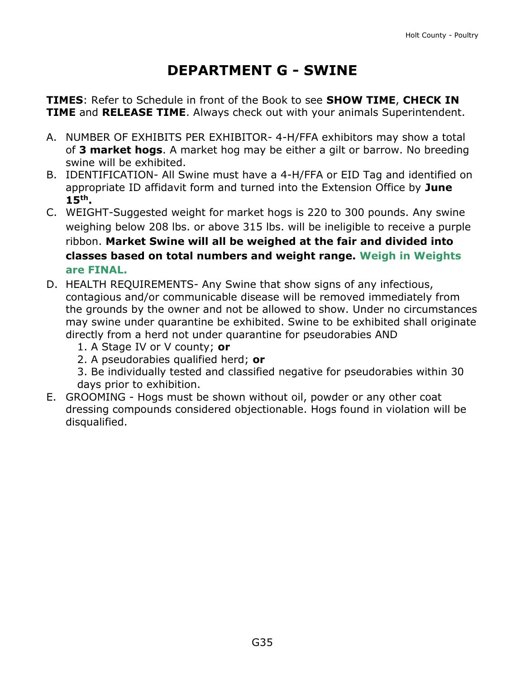# **DEPARTMENT G - SWINE**

<span id="page-35-0"></span>**TIMES**: Refer to Schedule in front of the Book to see **SHOW TIME**, **CHECK IN TIME** and **RELEASE TIME**. Always check out with your animals Superintendent.

- A. NUMBER OF EXHIBITS PER EXHIBITOR- 4-H/FFA exhibitors may show a total of **3 market hogs**. A market hog may be either a gilt or barrow. No breeding swine will be exhibited.
- B. IDENTIFICATION- All Swine must have a 4-H/FFA or EID Tag and identified on appropriate ID affidavit form and turned into the Extension Office by **June 15th.**
- C. WEIGHT-Suggested weight for market hogs is 220 to 300 pounds. Any swine weighing below 208 lbs. or above 315 lbs. will be ineligible to receive a purple ribbon. **Market Swine will all be weighed at the fair and divided into classes based on total numbers and weight range. Weigh in Weights are FINAL.**
- D. HEALTH REQUIREMENTS- Any Swine that show signs of any infectious, contagious and/or communicable disease will be removed immediately from the grounds by the owner and not be allowed to show. Under no circumstances may swine under quarantine be exhibited. Swine to be exhibited shall originate directly from a herd not under quarantine for pseudorabies AND
	- 1. A Stage IV or V county; **or**
	- 2. A pseudorabies qualified herd; **or**
	- 3. Be individually tested and classified negative for pseudorabies within 30 days prior to exhibition.
- E. GROOMING Hogs must be shown without oil, powder or any other coat dressing compounds considered objectionable. Hogs found in violation will be disqualified.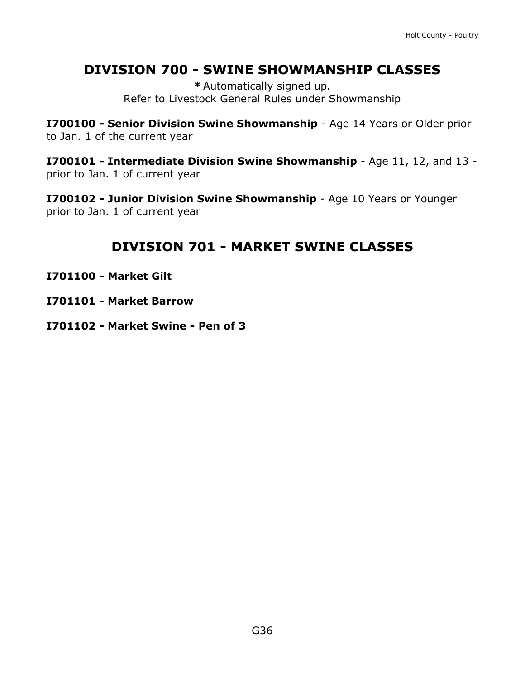## **DIVISION 700 - SWINE SHOWMANSHIP CLASSES**

**\*** Automatically signed up. Refer to Livestock General Rules under Showmanship

**I700100 - Senior Division Swine Showmanship** - Age 14 Years or Older prior to Jan. 1 of the current year

**I700101 - Intermediate Division Swine Showmanship** - Age 11, 12, and 13 prior to Jan. 1 of current year

**I700102 - Junior Division Swine Showmanship** - Age 10 Years or Younger prior to Jan. 1 of current year

## **DIVISION 701 - MARKET SWINE CLASSES**

- **I701100 - Market Gilt**
- **I701101 - Market Barrow**
- **I701102 - Market Swine - Pen of 3**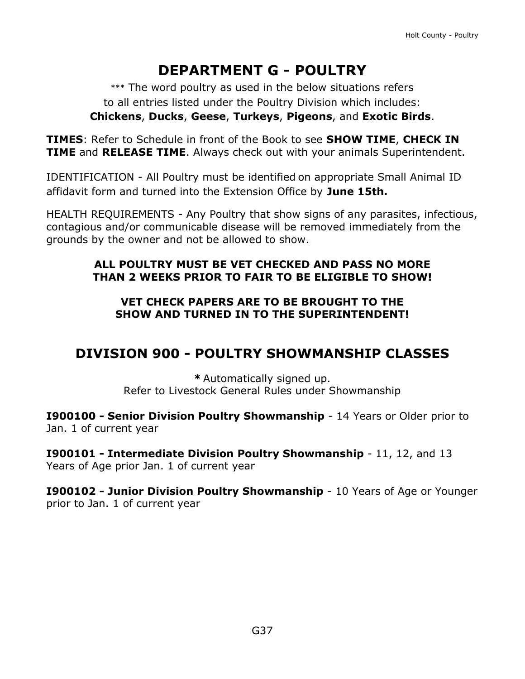# **DEPARTMENT G - POULTRY**

\*\*\* The word poultry as used in the below situations refers to all entries listed under the Poultry Division which includes: **Chickens**, **Ducks**, **Geese**, **Turkeys**, **Pigeons**, and **Exotic Birds**.

**TIMES**: Refer to Schedule in front of the Book to see **SHOW TIME**, **CHECK IN TIME** and **RELEASE TIME**. Always check out with your animals Superintendent.

IDENTIFICATION - All Poultry must be identified on appropriate Small Animal ID affidavit form and turned into the Extension Office by **June 15th.**

HEALTH REQUIREMENTS - Any Poultry that show signs of any parasites, infectious, contagious and/or communicable disease will be removed immediately from the grounds by the owner and not be allowed to show.

### **ALL POULTRY MUST BE VET CHECKED AND PASS NO MORE THAN 2 WEEKS PRIOR TO FAIR TO BE ELIGIBLE TO SHOW!**

### **VET CHECK PAPERS ARE TO BE BROUGHT TO THE SHOW AND TURNED IN TO THE SUPERINTENDENT!**

## **DIVISION 900 - POULTRY SHOWMANSHIP CLASSES**

**\*** Automatically signed up. Refer to Livestock General Rules under Showmanship

**I900100 - Senior Division Poultry Showmanship** - 14 Years or Older prior to Jan. 1 of current year

**I900101 - Intermediate Division Poultry Showmanship** - 11, 12, and 13 Years of Age prior Jan. 1 of current year

**I900102 - Junior Division Poultry Showmanship** - 10 Years of Age or Younger prior to Jan. 1 of current year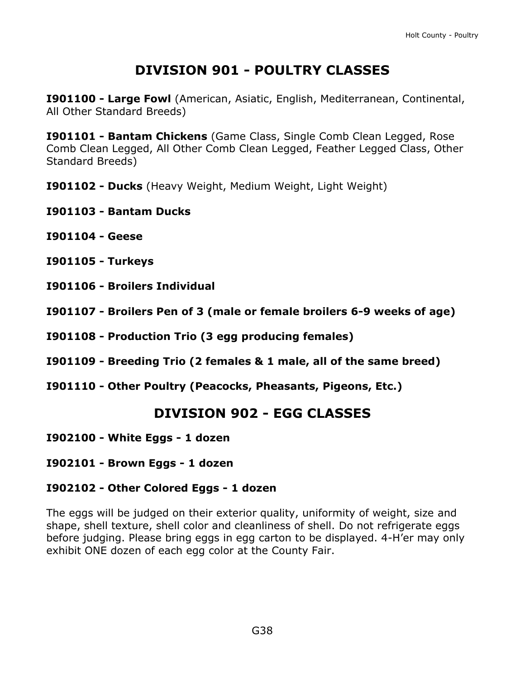## **DIVISION 901 - POULTRY CLASSES**

**I901100 - Large Fowl** (American, Asiatic, English, Mediterranean, Continental, All Other Standard Breeds)

**I901101 - Bantam Chickens** (Game Class, Single Comb Clean Legged, Rose Comb Clean Legged, All Other Comb Clean Legged, Feather Legged Class, Other Standard Breeds)

- **I901102 - Ducks** (Heavy Weight, Medium Weight, Light Weight)
- **I901103 - Bantam Ducks**
- **I901104 - Geese**
- **I901105 - Turkeys**
- **I901106 - Broilers Individual**
- **I901107 - Broilers Pen of 3 (male or female broilers 6-9 weeks of age)**
- **I901108 - Production Trio (3 egg producing females)**
- **I901109 - Breeding Trio (2 females & 1 male, all of the same breed)**
- **I901110 - Other Poultry (Peacocks, Pheasants, Pigeons, Etc.)**

### **DIVISION 902 - EGG CLASSES**

- **I902100 - White Eggs - 1 dozen**
- **I902101 - Brown Eggs - 1 dozen**

### **I902102 - Other Colored Eggs - 1 dozen**

The eggs will be judged on their exterior quality, uniformity of weight, size and shape, shell texture, shell color and cleanliness of shell. Do not refrigerate eggs before judging. Please bring eggs in egg carton to be displayed. 4-H'er may only exhibit ONE dozen of each egg color at the County Fair.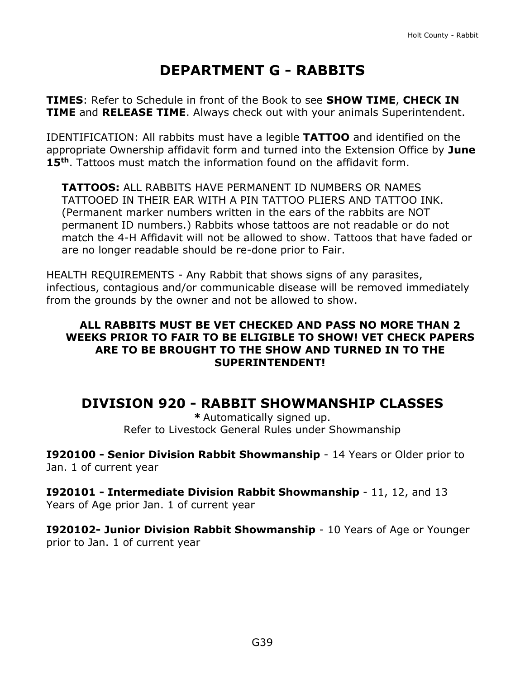# **DEPARTMENT G - RABBITS**

<span id="page-39-0"></span>**TIMES**: Refer to Schedule in front of the Book to see **SHOW TIME**, **CHECK IN TIME** and **RELEASE TIME**. Always check out with your animals Superintendent.

IDENTIFICATION: All rabbits must have a legible **TATTOO** and identified on the appropriate Ownership affidavit form and turned into the Extension Office by **June 15th**. Tattoos must match the information found on the affidavit form.

**TATTOOS:** ALL RABBITS HAVE PERMANENT ID NUMBERS OR NAMES TATTOOED IN THEIR EAR WITH A PIN TATTOO PLIERS AND TATTOO INK. (Permanent marker numbers written in the ears of the rabbits are NOT permanent ID numbers.) Rabbits whose tattoos are not readable or do not match the 4-H Affidavit will not be allowed to show. Tattoos that have faded or are no longer readable should be re-done prior to Fair.

HEALTH REQUIREMENTS - Any Rabbit that shows signs of any parasites, infectious, contagious and/or communicable disease will be removed immediately from the grounds by the owner and not be allowed to show.

#### **ALL RABBITS MUST BE VET CHECKED AND PASS NO MORE THAN 2 WEEKS PRIOR TO FAIR TO BE ELIGIBLE TO SHOW! VET CHECK PAPERS ARE TO BE BROUGHT TO THE SHOW AND TURNED IN TO THE SUPERINTENDENT!**

### **DIVISION 920 - RABBIT SHOWMANSHIP CLASSES**

**\*** Automatically signed up. Refer to Livestock General Rules under Showmanship

**I920100 - Senior Division Rabbit Showmanship** - 14 Years or Older prior to Jan. 1 of current year

**I920101 - Intermediate Division Rabbit Showmanship** - 11, 12, and 13 Years of Age prior Jan. 1 of current year

**I920102- Junior Division Rabbit Showmanship** - 10 Years of Age or Younger prior to Jan. 1 of current year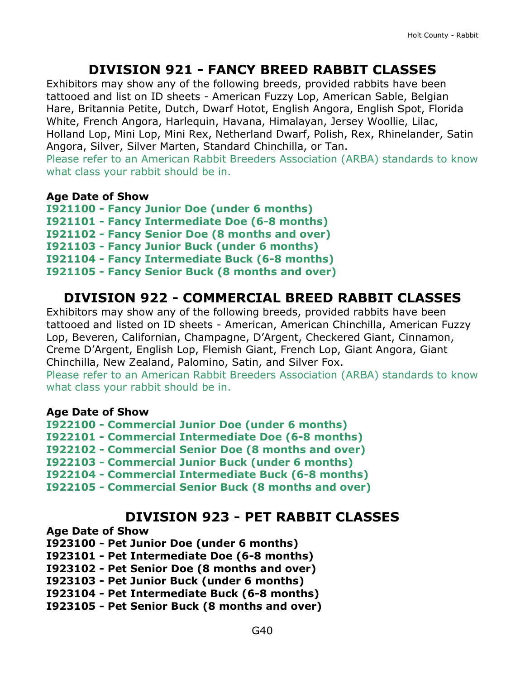### **DIVISION 921 - FANCY BREED RABBIT CLASSES**

Exhibitors may show any of the following breeds, provided rabbits have been tattooed and list on ID sheets - American Fuzzy Lop, American Sable, Belgian Hare, Britannia Petite, Dutch, Dwarf Hotot, English Angora, English Spot, Florida White, French Angora, Harlequin, Havana, Himalayan, Jersey Woollie, Lilac, Holland Lop, Mini Lop, Mini Rex, Netherland Dwarf, Polish, Rex, Rhinelander, Satin Angora, Silver, Silver Marten, Standard Chinchilla, or Tan.

Please refer to an American Rabbit Breeders Association (ARBA) standards to know what class your rabbit should be in.

#### **Age Date of Show**

**I921100 - Fancy Junior Doe (under 6 months) I921101 - Fancy Intermediate Doe (6-8 months) I921102 - Fancy Senior Doe (8 months and over) I921103 - Fancy Junior Buck (under 6 months) I921104 - Fancy Intermediate Buck (6-8 months) I921105 - Fancy Senior Buck (8 months and over)**

### **DIVISION 922 - COMMERCIAL BREED RABBIT CLASSES**

Exhibitors may show any of the following breeds, provided rabbits have been tattooed and listed on ID sheets - American, American Chinchilla, American Fuzzy Lop, Beveren, Californian, Champagne, D'Argent, Checkered Giant, Cinnamon, Creme D'Argent, English Lop, Flemish Giant, French Lop, Giant Angora, Giant Chinchilla, New Zealand, Palomino, Satin, and Silver Fox.

Please refer to an American Rabbit Breeders Association (ARBA) standards to know what class your rabbit should be in.

#### **Age Date of Show**

- **I922100 - Commercial Junior Doe (under 6 months)**
- **I922101 - Commercial Intermediate Doe (6-8 months)**
- **I922102 - Commercial Senior Doe (8 months and over)**
- **I922103 - Commercial Junior Buck (under 6 months)**
- **I922104 - Commercial Intermediate Buck (6-8 months)**
- **I922105 - Commercial Senior Buck (8 months and over)**

### **DIVISION 923 - PET RABBIT CLASSES**

#### **Age Date of Show**

- **I923100 - Pet Junior Doe (under 6 months)**
- **I923101 - Pet Intermediate Doe (6-8 months)**
- **I923102 - Pet Senior Doe (8 months and over)**
- **I923103 - Pet Junior Buck (under 6 months)**
- **I923104 - Pet Intermediate Buck (6-8 months)**
- **I923105 - Pet Senior Buck (8 months and over)**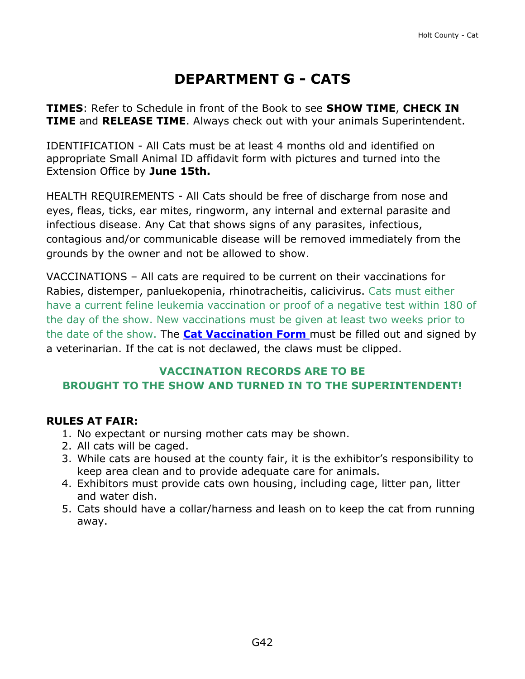# **DEPARTMENT G - CATS**

<span id="page-42-0"></span>**TIMES**: Refer to Schedule in front of the Book to see **SHOW TIME**, **CHECK IN TIME** and **RELEASE TIME**. Always check out with your animals Superintendent.

IDENTIFICATION - All Cats must be at least 4 months old and identified on appropriate Small Animal ID affidavit form with pictures and turned into the Extension Office by **June 15th.**

HEALTH REQUIREMENTS - All Cats should be free of discharge from nose and eyes, fleas, ticks, ear mites, ringworm, any internal and external parasite and infectious disease. Any Cat that shows signs of any parasites, infectious, contagious and/or communicable disease will be removed immediately from the grounds by the owner and not be allowed to show.

VACCINATIONS – All cats are required to be current on their vaccinations for Rabies, distemper, panluekopenia, rhinotracheitis, calicivirus. Cats must either have a current feline leukemia vaccination or proof of a negative test within 180 of the day of the show. New vaccinations must be given at least two weeks prior to the date of the show. The **[Cat Vaccination Form](https://unl.box.com/s/2rgh59y4ovbv4rrinr9kw6jzqy6b7ein)** must be filled out and signed by a veterinarian. If the cat is not declawed, the claws must be clipped.

### **VACCINATION RECORDS ARE TO BE BROUGHT TO THE SHOW AND TURNED IN TO THE SUPERINTENDENT!**

### **RULES AT FAIR:**

- 1. No expectant or nursing mother cats may be shown.
- 2. All cats will be caged.
- 3. While cats are housed at the county fair, it is the exhibitor's responsibility to keep area clean and to provide adequate care for animals.
- 4. Exhibitors must provide cats own housing, including cage, litter pan, litter and water dish.
- 5. Cats should have a collar/harness and leash on to keep the cat from running away.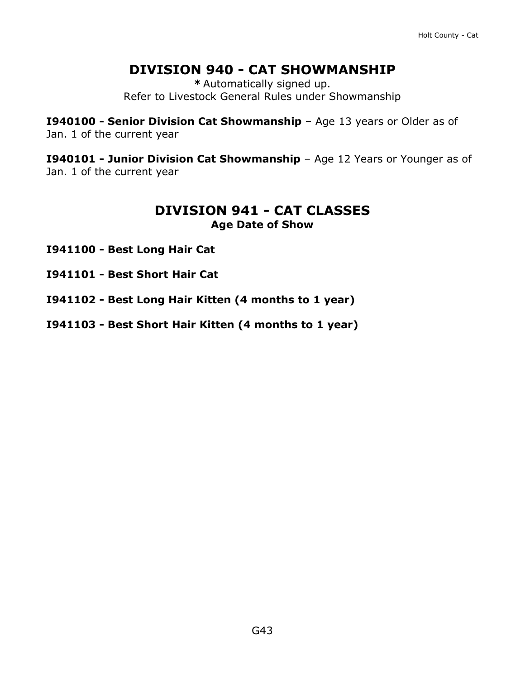## **DIVISION 940 - CAT SHOWMANSHIP**

**\*** Automatically signed up. Refer to Livestock General Rules under Showmanship

**I940100 - Senior Division Cat Showmanship** – Age 13 years or Older as of Jan. 1 of the current year

**I940101 - Junior Division Cat Showmanship** – Age 12 Years or Younger as of Jan. 1 of the current year

### **DIVISION 941 - CAT CLASSES Age Date of Show**

- **I941100 - Best Long Hair Cat**
- **I941101 - Best Short Hair Cat**
- **I941102 - Best Long Hair Kitten (4 months to 1 year)**
- **I941103 - Best Short Hair Kitten (4 months to 1 year)**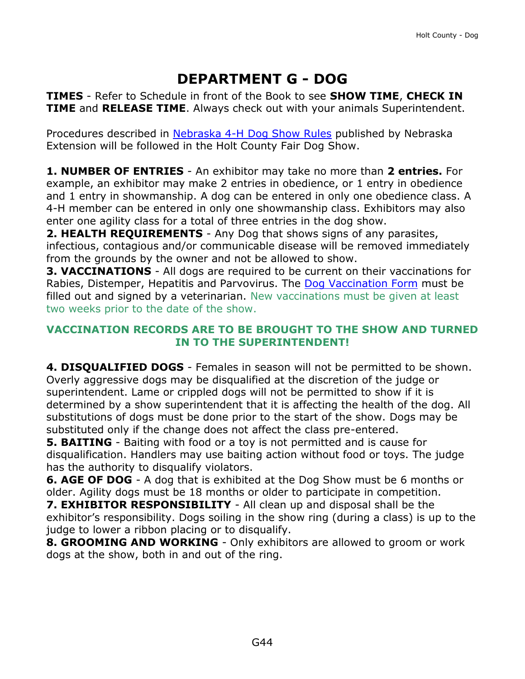# **DEPARTMENT G - DOG**

<span id="page-44-0"></span>**TIMES** - Refer to Schedule in front of the Book to see **SHOW TIME**, **CHECK IN TIME** and **RELEASE TIME**. Always check out with your animals Superintendent.

Procedures described in [Nebraska 4-H Dog Show](http://animalscience.unl.edu/Extension/Companion/4-H%20Dog%20Rules%204H%20420%20FINAL.pdf) Rules published by Nebraska Extension will be followed in the Holt County Fair Dog Show.

**1. NUMBER OF ENTRIES** - An exhibitor may take no more than **2 entries.** For example, an exhibitor may make 2 entries in obedience, or 1 entry in obedience and 1 entry in showmanship. A dog can be entered in only one obedience class. A 4-H member can be entered in only one showmanship class. Exhibitors may also enter one agility class for a total of three entries in the dog show.

**2. HEALTH REQUIREMENTS** - Any Dog that shows signs of any parasites, infectious, contagious and/or communicable disease will be removed immediately from the grounds by the owner and not be allowed to show.

**3. VACCINATIONS** - All dogs are required to be current on their vaccinations for Rabies, Distemper, Hepatitis and Parvovirus. The [Dog Vaccination Form](https://unl.box.com/s/xdzjjnwngq44o1ngen57fin7hpzctmcr) must be filled out and signed by a veterinarian. New vaccinations must be given at least two weeks prior to the date of the show.

#### **VACCINATION RECORDS ARE TO BE BROUGHT TO THE SHOW AND TURNED IN TO THE SUPERINTENDENT!**

**4. DISQUALIFIED DOGS** - Females in season will not be permitted to be shown. Overly aggressive dogs may be disqualified at the discretion of the judge or superintendent. Lame or crippled dogs will not be permitted to show if it is determined by a show superintendent that it is affecting the health of the dog. All substitutions of dogs must be done prior to the start of the show. Dogs may be substituted only if the change does not affect the class pre-entered.

**5. BAITING** - Baiting with food or a toy is not permitted and is cause for disqualification. Handlers may use baiting action without food or toys. The judge has the authority to disqualify violators.

**6. AGE OF DOG** - A dog that is exhibited at the Dog Show must be 6 months or older. Agility dogs must be 18 months or older to participate in competition.

**7. EXHIBITOR RESPONSIBILITY** - All clean up and disposal shall be the exhibitor's responsibility. Dogs soiling in the show ring (during a class) is up to the judge to lower a ribbon placing or to disqualify.

**8. GROOMING AND WORKING** - Only exhibitors are allowed to groom or work dogs at the show, both in and out of the ring.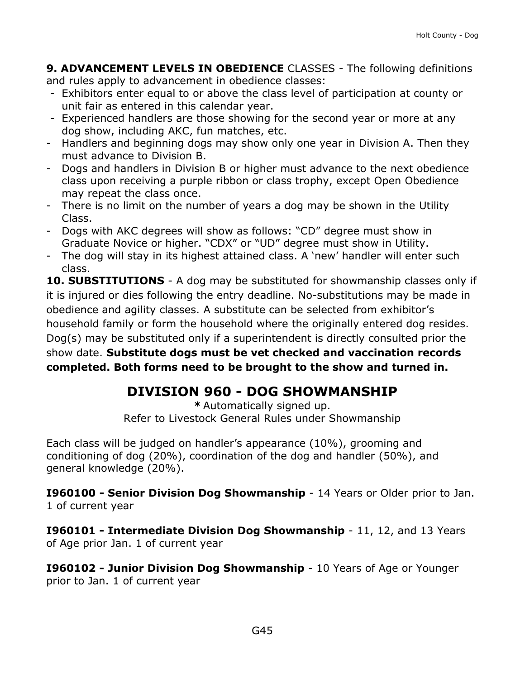**9. ADVANCEMENT LEVELS IN OBEDIENCE** CLASSES - The following definitions and rules apply to advancement in obedience classes:

- Exhibitors enter equal to or above the class level of participation at county or unit fair as entered in this calendar year.
- Experienced handlers are those showing for the second year or more at any dog show, including AKC, fun matches, etc.
- Handlers and beginning dogs may show only one year in Division A. Then they must advance to Division B.
- Dogs and handlers in Division B or higher must advance to the next obedience class upon receiving a purple ribbon or class trophy, except Open Obedience may repeat the class once.
- There is no limit on the number of years a dog may be shown in the Utility Class.
- Dogs with AKC degrees will show as follows: "CD" degree must show in Graduate Novice or higher. "CDX" or "UD" degree must show in Utility.
- The dog will stay in its highest attained class. A 'new' handler will enter such class.

**10. SUBSTITUTIONS** - A dog may be substituted for showmanship classes only if it is injured or dies following the entry deadline. No-substitutions may be made in obedience and agility classes. A substitute can be selected from exhibitor's household family or form the household where the originally entered dog resides. Dog(s) may be substituted only if a superintendent is directly consulted prior the show date. **Substitute dogs must be vet checked and vaccination records completed. Both forms need to be brought to the show and turned in.** 

# **DIVISION 960 - DOG SHOWMANSHIP**

**\*** Automatically signed up. Refer to Livestock General Rules under Showmanship

Each class will be judged on handler's appearance (10%), grooming and conditioning of dog (20%), coordination of the dog and handler (50%), and general knowledge (20%).

**I960100 - Senior Division Dog Showmanship** - 14 Years or Older prior to Jan. 1 of current year

**I960101 - Intermediate Division Dog Showmanship** - 11, 12, and 13 Years of Age prior Jan. 1 of current year

**I960102 - Junior Division Dog Showmanship** - 10 Years of Age or Younger prior to Jan. 1 of current year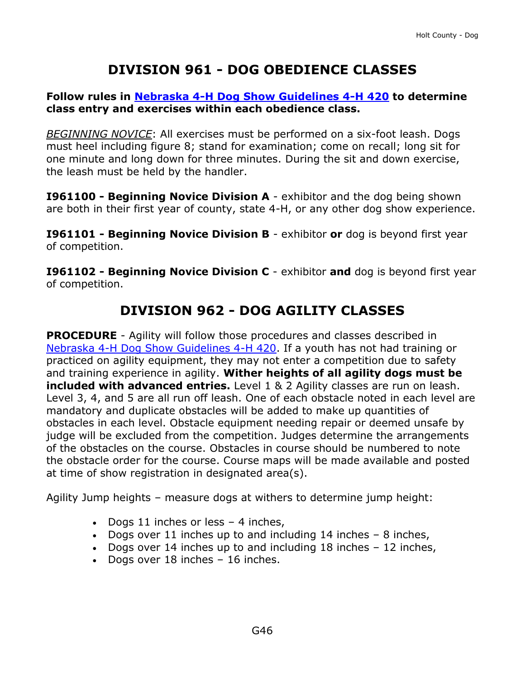# **DIVISION 961 - DOG OBEDIENCE CLASSES**

#### **Follow rules in [Nebraska 4-H Dog Show Guidelines 4-H 420](https://4h.unl.edu/3_4HPrograms/a_StateRegionalNationalPrograms/CompanionAnimal/4H420-Dog-Show-Rules.pdf) to determine class entry and exercises within each obedience class.**

*BEGINNING NOVICE*: All exercises must be performed on a six-foot leash. Dogs must heel including figure 8; stand for examination; come on recall; long sit for one minute and long down for three minutes. During the sit and down exercise, the leash must be held by the handler.

**I961100 - Beginning Novice Division A** - exhibitor and the dog being shown are both in their first year of county, state 4-H, or any other dog show experience.

**I961101 - Beginning Novice Division B** - exhibitor **or** dog is beyond first year of competition.

**I961102 - Beginning Novice Division C** - exhibitor **and** dog is beyond first year of competition.

## **DIVISION 962 - DOG AGILITY CLASSES**

**PROCEDURE** - Agility will follow those procedures and classes described in [Nebraska 4-H Dog Show Guidelines 4-H 420.](http://animalscience.unl.edu/Extension/Companion/4-H%20Dog%20Rules%204H%20420%20FINAL.pdf) If a youth has not had training or practiced on agility equipment, they may not enter a competition due to safety and training experience in agility. **Wither heights of all agility dogs must be included with advanced entries.** Level 1 & 2 Agility classes are run on leash. Level 3, 4, and 5 are all run off leash. One of each obstacle noted in each level are mandatory and duplicate obstacles will be added to make up quantities of obstacles in each level. Obstacle equipment needing repair or deemed unsafe by judge will be excluded from the competition. Judges determine the arrangements of the obstacles on the course. Obstacles in course should be numbered to note the obstacle order for the course. Course maps will be made available and posted at time of show registration in designated area(s).

Agility Jump heights – measure dogs at withers to determine jump height:

- Dogs 11 inches or less  $-$  4 inches,
- Dogs over 11 inches up to and including  $14$  inches  $-8$  inches,
- Dogs over 14 inches up to and including  $18$  inches  $-12$  inches,
- Dogs over 18 inches 16 inches.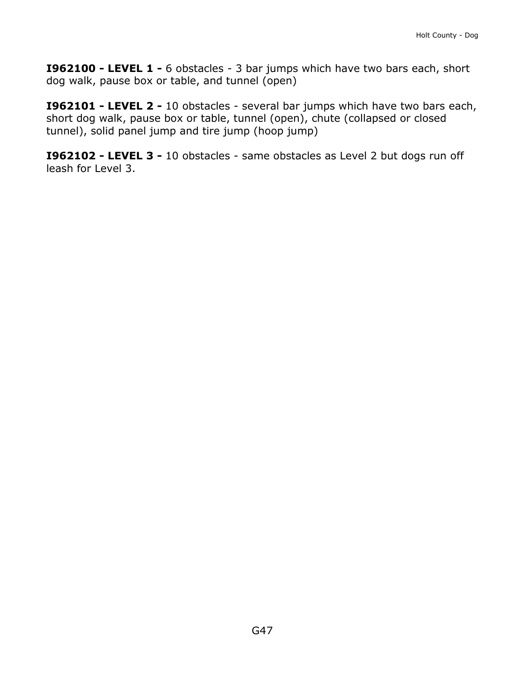**I962100 - LEVEL 1 -** 6 obstacles - 3 bar jumps which have two bars each, short dog walk, pause box or table, and tunnel (open)

**I962101 - LEVEL 2 -** 10 obstacles - several bar jumps which have two bars each, short dog walk, pause box or table, tunnel (open), chute (collapsed or closed tunnel), solid panel jump and tire jump (hoop jump)

**I962102 - LEVEL 3 -** 10 obstacles - same obstacles as Level 2 but dogs run off leash for Level 3.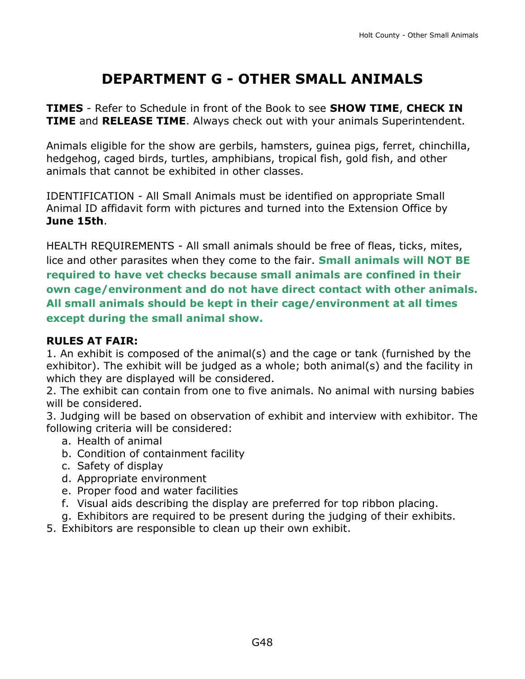# **DEPARTMENT G - OTHER SMALL ANIMALS**

<span id="page-48-0"></span>**TIMES** - Refer to Schedule in front of the Book to see **SHOW TIME**, **CHECK IN TIME** and **RELEASE TIME**. Always check out with your animals Superintendent.

Animals eligible for the show are gerbils, hamsters, guinea pigs, ferret, chinchilla, hedgehog, caged birds, turtles, amphibians, tropical fish, gold fish, and other animals that cannot be exhibited in other classes.

IDENTIFICATION - All Small Animals must be identified on appropriate Small Animal ID affidavit form with pictures and turned into the Extension Office by **June 15th**.

HEALTH REQUIREMENTS - All small animals should be free of fleas, ticks, mites, lice and other parasites when they come to the fair. **Small animals will NOT BE required to have vet checks because small animals are confined in their own cage/environment and do not have direct contact with other animals. All small animals should be kept in their cage/environment at all times except during the small animal show.** 

### **RULES AT FAIR:**

1. An exhibit is composed of the animal(s) and the cage or tank (furnished by the exhibitor). The exhibit will be judged as a whole; both animal(s) and the facility in which they are displayed will be considered.

2. The exhibit can contain from one to five animals. No animal with nursing babies will be considered.

3. Judging will be based on observation of exhibit and interview with exhibitor. The following criteria will be considered:

- a. Health of animal
- b. Condition of containment facility
- c. Safety of display
- d. Appropriate environment
- e. Proper food and water facilities
- f. Visual aids describing the display are preferred for top ribbon placing.
- g. Exhibitors are required to be present during the judging of their exhibits.
- 5. Exhibitors are responsible to clean up their own exhibit.